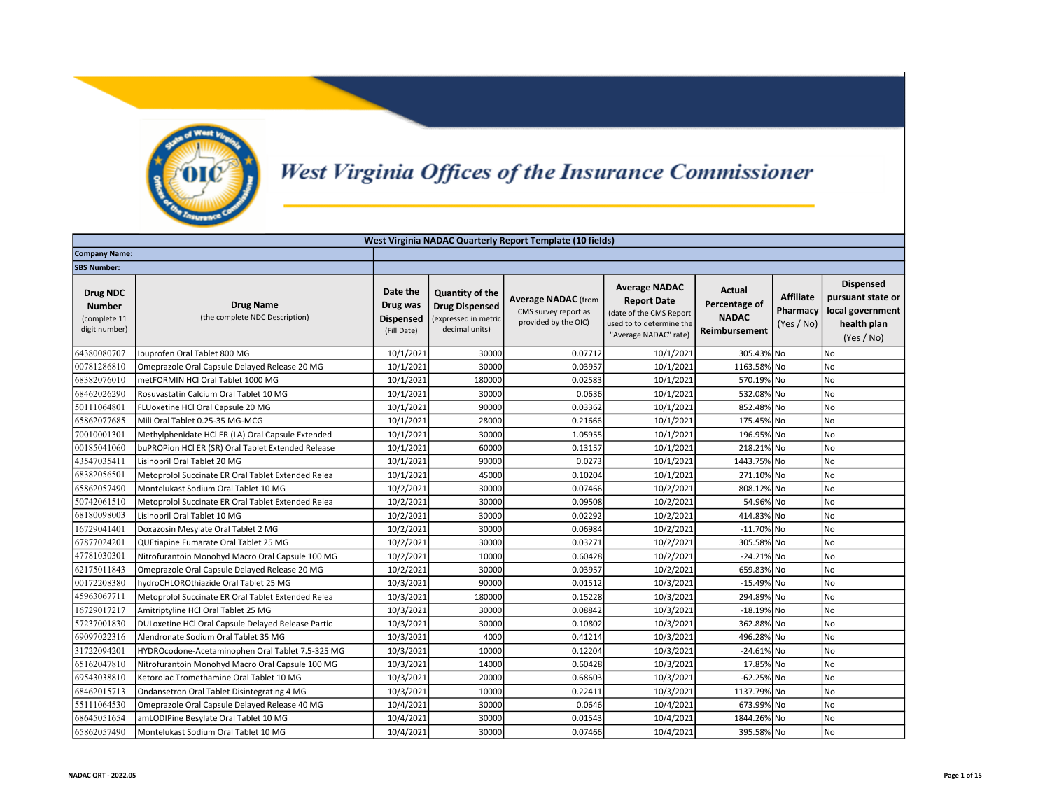

## West Virginia Offices of the Insurance Commissioner

|                                                                   | West Virginia NADAC Quarterly Report Template (10 fields) |                                                         |                                                                                           |                                                                            |                                                                                                                            |                                                          |                                            |                                                                                        |  |  |
|-------------------------------------------------------------------|-----------------------------------------------------------|---------------------------------------------------------|-------------------------------------------------------------------------------------------|----------------------------------------------------------------------------|----------------------------------------------------------------------------------------------------------------------------|----------------------------------------------------------|--------------------------------------------|----------------------------------------------------------------------------------------|--|--|
| <b>Company Name:</b>                                              |                                                           |                                                         |                                                                                           |                                                                            |                                                                                                                            |                                                          |                                            |                                                                                        |  |  |
| <b>SBS Number:</b>                                                |                                                           |                                                         |                                                                                           |                                                                            |                                                                                                                            |                                                          |                                            |                                                                                        |  |  |
| <b>Drug NDC</b><br><b>Number</b><br>(complete 11<br>digit number) | <b>Drug Name</b><br>(the complete NDC Description)        | Date the<br>Drug was<br><b>Dispensed</b><br>(Fill Date) | <b>Quantity of the</b><br><b>Drug Dispensed</b><br>(expressed in metric<br>decimal units) | <b>Average NADAC (from</b><br>CMS survey report as<br>provided by the OIC) | <b>Average NADAC</b><br><b>Report Date</b><br>(date of the CMS Report<br>used to to determine the<br>"Average NADAC" rate) | Actual<br>Percentage of<br><b>NADAC</b><br>Reimbursement | <b>Affiliate</b><br>Pharmacy<br>(Yes / No) | <b>Dispensed</b><br>pursuant state or<br>local government<br>health plan<br>(Yes / No) |  |  |
| 64380080707                                                       | Ibuprofen Oral Tablet 800 MG                              | 10/1/2021                                               | 30000                                                                                     | 0.07712                                                                    | 10/1/2021                                                                                                                  | 305.43% No                                               |                                            | N <sub>o</sub>                                                                         |  |  |
| 00781286810                                                       | Omeprazole Oral Capsule Delayed Release 20 MG             | 10/1/2021                                               | 30000                                                                                     | 0.03957                                                                    | 10/1/2021                                                                                                                  | 1163.58% No                                              |                                            | <b>No</b>                                                                              |  |  |
| 68382076010                                                       | metFORMIN HCl Oral Tablet 1000 MG                         | 10/1/2021                                               | 180000                                                                                    | 0.02583                                                                    | 10/1/2021                                                                                                                  | 570.19% No                                               |                                            | N <sub>o</sub>                                                                         |  |  |
| 68462026290                                                       | Rosuvastatin Calcium Oral Tablet 10 MG                    | 10/1/2021                                               | 30000                                                                                     | 0.0636                                                                     | 10/1/2021                                                                                                                  | 532.08% No                                               |                                            | No                                                                                     |  |  |
| 50111064801                                                       | FLUoxetine HCl Oral Capsule 20 MG                         | 10/1/2021                                               | 90000                                                                                     | 0.03362                                                                    | 10/1/2021                                                                                                                  | 852.48% No                                               |                                            | No                                                                                     |  |  |
| 65862077685                                                       | Mili Oral Tablet 0.25-35 MG-MCG                           | 10/1/2021                                               | 28000                                                                                     | 0.21666                                                                    | 10/1/2021                                                                                                                  | 175.45% No                                               |                                            | No                                                                                     |  |  |
| 70010001301                                                       | Methylphenidate HCl ER (LA) Oral Capsule Extended         | 10/1/2021                                               | 30000                                                                                     | 1.05955                                                                    | 10/1/2021                                                                                                                  | 196.95% No                                               |                                            | <b>No</b>                                                                              |  |  |
| 00185041060                                                       | buPROPion HCl ER (SR) Oral Tablet Extended Release        | 10/1/2021                                               | 60000                                                                                     | 0.13157                                                                    | 10/1/2021                                                                                                                  | 218.21% No                                               |                                            | No                                                                                     |  |  |
| 43547035411                                                       | Lisinopril Oral Tablet 20 MG                              | 10/1/2021                                               | 90000                                                                                     | 0.0273                                                                     | 10/1/2021                                                                                                                  | 1443.75% No                                              |                                            | No                                                                                     |  |  |
| 68382056501                                                       | Metoprolol Succinate ER Oral Tablet Extended Relea        | 10/1/2021                                               | 45000                                                                                     | 0.10204                                                                    | 10/1/2021                                                                                                                  | 271.10% No                                               |                                            | <b>No</b>                                                                              |  |  |
| 65862057490                                                       | Montelukast Sodium Oral Tablet 10 MG                      | 10/2/2021                                               | 30000                                                                                     | 0.07466                                                                    | 10/2/2021                                                                                                                  | 808.12% No                                               |                                            | <b>No</b>                                                                              |  |  |
| 50742061510                                                       | Metoprolol Succinate ER Oral Tablet Extended Relea        | 10/2/2021                                               | 30000                                                                                     | 0.09508                                                                    | 10/2/2021                                                                                                                  | 54.96% No                                                |                                            | No                                                                                     |  |  |
| 68180098003                                                       | Lisinopril Oral Tablet 10 MG                              | 10/2/2021                                               | 30000                                                                                     | 0.02292                                                                    | 10/2/2021                                                                                                                  | 414.83% No                                               |                                            | No                                                                                     |  |  |
| 16729041401                                                       | Doxazosin Mesylate Oral Tablet 2 MG                       | 10/2/2021                                               | 30000                                                                                     | 0.06984                                                                    | 10/2/2021                                                                                                                  | $-11.70\%$ No                                            |                                            | No                                                                                     |  |  |
| 67877024201                                                       | QUEtiapine Fumarate Oral Tablet 25 MG                     | 10/2/2021                                               | 30000                                                                                     | 0.03271                                                                    | 10/2/2021                                                                                                                  | 305.58% No                                               |                                            | <b>No</b>                                                                              |  |  |
| 47781030301                                                       | Nitrofurantoin Monohyd Macro Oral Capsule 100 MG          | 10/2/2021                                               | 10000                                                                                     | 0.60428                                                                    | 10/2/2021                                                                                                                  | -24.21% No                                               |                                            | No                                                                                     |  |  |
| 62175011843                                                       | Omeprazole Oral Capsule Delayed Release 20 MG             | 10/2/2021                                               | 30000                                                                                     | 0.03957                                                                    | 10/2/2021                                                                                                                  | 659.83% No                                               |                                            | <b>No</b>                                                                              |  |  |
| 00172208380                                                       | hydroCHLOROthiazide Oral Tablet 25 MG                     | 10/3/2021                                               | 90000                                                                                     | 0.01512                                                                    | 10/3/2021                                                                                                                  | $-15.49\%$ No                                            |                                            | No                                                                                     |  |  |
| 45963067711                                                       | Metoprolol Succinate ER Oral Tablet Extended Relea        | 10/3/2021                                               | 180000                                                                                    | 0.15228                                                                    | 10/3/2021                                                                                                                  | 294.89% No                                               |                                            | <b>No</b>                                                                              |  |  |
| 16729017217                                                       | Amitriptyline HCl Oral Tablet 25 MG                       | 10/3/2021                                               | 30000                                                                                     | 0.08842                                                                    | 10/3/2021                                                                                                                  | $-18.19%$ No                                             |                                            | No                                                                                     |  |  |
| 57237001830                                                       | DULoxetine HCl Oral Capsule Delayed Release Partic        | 10/3/2021                                               | 30000                                                                                     | 0.10802                                                                    | 10/3/2021                                                                                                                  | 362.88% No                                               |                                            | No                                                                                     |  |  |
| 69097022316                                                       | Alendronate Sodium Oral Tablet 35 MG                      | 10/3/2021                                               | 4000                                                                                      | 0.41214                                                                    | 10/3/2021                                                                                                                  | 496.28% No                                               |                                            | No                                                                                     |  |  |
| 31722094201                                                       | HYDROcodone-Acetaminophen Oral Tablet 7.5-325 MG          | 10/3/2021                                               | 10000                                                                                     | 0.12204                                                                    | 10/3/2021                                                                                                                  | $-24.61\%$ No                                            |                                            | No                                                                                     |  |  |
| 65162047810                                                       | Nitrofurantoin Monohyd Macro Oral Capsule 100 MG          | 10/3/2021                                               | 14000                                                                                     | 0.60428                                                                    | 10/3/2021                                                                                                                  | 17.85% No                                                |                                            | No                                                                                     |  |  |
| 69543038810                                                       | Ketorolac Tromethamine Oral Tablet 10 MG                  | 10/3/2021                                               | 20000                                                                                     | 0.68603                                                                    | 10/3/2021                                                                                                                  | $-62.25%$ No                                             |                                            | No                                                                                     |  |  |
| 68462015713                                                       | Ondansetron Oral Tablet Disintegrating 4 MG               | 10/3/2021                                               | 10000                                                                                     | 0.22411                                                                    | 10/3/2021                                                                                                                  | 1137.79% No                                              |                                            | No                                                                                     |  |  |
| 55111064530                                                       | Omeprazole Oral Capsule Delayed Release 40 MG             | 10/4/2021                                               | 30000                                                                                     | 0.0646                                                                     | 10/4/2021                                                                                                                  | 673.99% No                                               |                                            | No                                                                                     |  |  |
| 68645051654                                                       | amLODIPine Besylate Oral Tablet 10 MG                     | 10/4/2021                                               | 30000                                                                                     | 0.01543                                                                    | 10/4/2021                                                                                                                  | 1844.26% No                                              |                                            | No                                                                                     |  |  |
| 65862057490                                                       | Montelukast Sodium Oral Tablet 10 MG                      | 10/4/2021                                               | 30000                                                                                     | 0.07466                                                                    | 10/4/2021                                                                                                                  | 395.58% No                                               |                                            | No                                                                                     |  |  |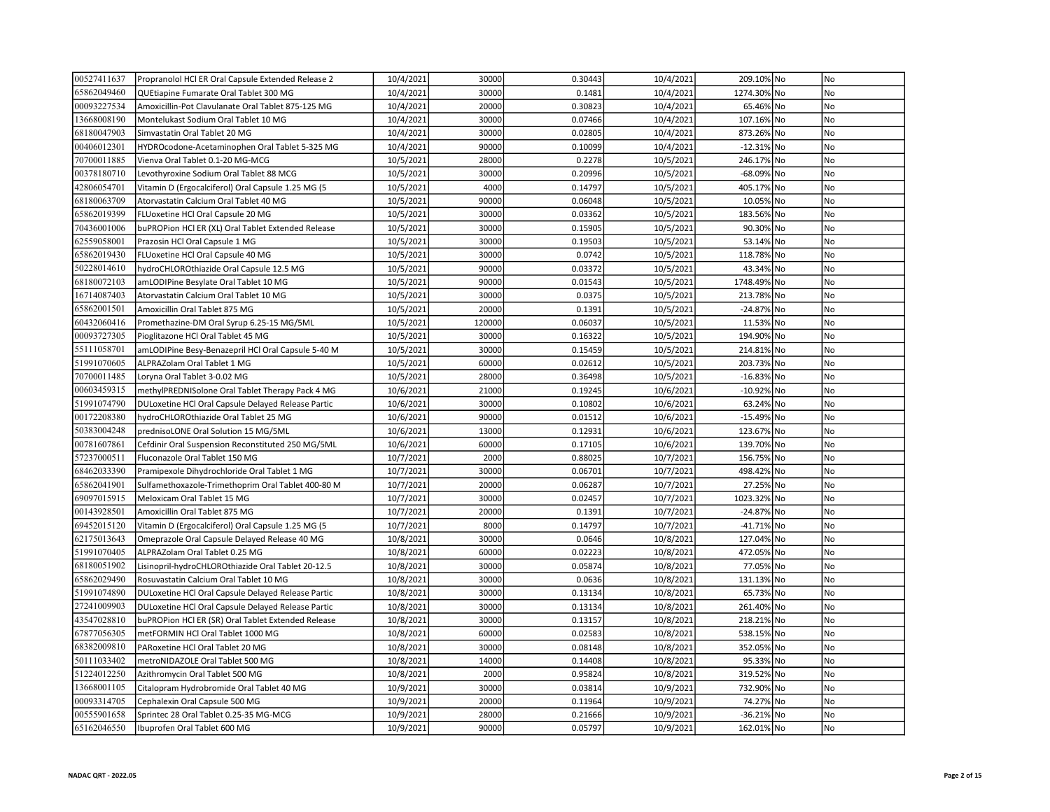| 00527411637 | Propranolol HCl ER Oral Capsule Extended Release 2 | 10/4/2021 | 30000  | 0.30443 | 10/4/2021 | 209.10% No  | No             |
|-------------|----------------------------------------------------|-----------|--------|---------|-----------|-------------|----------------|
| 65862049460 | QUEtiapine Fumarate Oral Tablet 300 MG             | 10/4/2021 | 30000  | 0.1481  | 10/4/2021 | 1274.30% No | No             |
| 00093227534 | Amoxicillin-Pot Clavulanate Oral Tablet 875-125 MG | 10/4/2021 | 20000  | 0.30823 | 10/4/2021 | 65.46% No   | No             |
| 13668008190 | Montelukast Sodium Oral Tablet 10 MG               | 10/4/2021 | 30000  | 0.07466 | 10/4/2021 | 107.16% No  | No             |
| 68180047903 | Simvastatin Oral Tablet 20 MG                      | 10/4/2021 | 30000  | 0.02805 | 10/4/2021 | 873.26% No  | N <sub>o</sub> |
| 00406012301 | HYDROcodone-Acetaminophen Oral Tablet 5-325 MG     | 10/4/2021 | 90000  | 0.10099 | 10/4/2021 | -12.31% No  | No             |
| 70700011885 | Vienva Oral Tablet 0.1-20 MG-MCG                   | 10/5/2021 | 28000  | 0.2278  | 10/5/2021 | 246.17% No  | No             |
| 00378180710 | Levothyroxine Sodium Oral Tablet 88 MCG            | 10/5/2021 | 30000  | 0.20996 | 10/5/2021 | -68.09% No  | No             |
| 42806054701 | Vitamin D (Ergocalciferol) Oral Capsule 1.25 MG (5 | 10/5/2021 | 4000   | 0.14797 | 10/5/2021 | 405.17% No  | No             |
| 68180063709 | Atorvastatin Calcium Oral Tablet 40 MG             | 10/5/2021 | 90000  | 0.06048 | 10/5/2021 | 10.05% No   | <b>No</b>      |
| 65862019399 | FLUoxetine HCl Oral Capsule 20 MG                  | 10/5/2021 | 30000  | 0.03362 | 10/5/2021 | 183.56% No  | No             |
| 70436001006 | buPROPion HCl ER (XL) Oral Tablet Extended Release | 10/5/2021 | 30000  | 0.15905 | 10/5/2021 | 90.30% No   | No             |
| 62559058001 | Prazosin HCl Oral Capsule 1 MG                     | 10/5/2021 | 30000  | 0.19503 | 10/5/2021 | 53.14% No   | No             |
| 65862019430 | FLUoxetine HCl Oral Capsule 40 MG                  | 10/5/2021 | 30000  | 0.0742  | 10/5/2021 | 118.78% No  | No             |
| 50228014610 | hydroCHLOROthiazide Oral Capsule 12.5 MG           | 10/5/2021 | 90000  | 0.03372 | 10/5/2021 | 43.34% No   | No             |
| 68180072103 | amLODIPine Besylate Oral Tablet 10 MG              | 10/5/2021 | 90000  | 0.01543 | 10/5/2021 | 1748.49% No | <b>No</b>      |
| 16714087403 | Atorvastatin Calcium Oral Tablet 10 MG             | 10/5/2021 | 30000  | 0.0375  | 10/5/2021 | 213.78% No  | No             |
| 65862001501 | Amoxicillin Oral Tablet 875 MG                     | 10/5/2021 | 20000  | 0.1391  | 10/5/2021 | -24.87% No  | No             |
| 60432060416 | Promethazine-DM Oral Syrup 6.25-15 MG/5ML          | 10/5/2021 | 120000 | 0.06037 | 10/5/2021 | 11.53% No   | No             |
| 00093727305 | Pioglitazone HCl Oral Tablet 45 MG                 | 10/5/2021 | 30000  | 0.16322 | 10/5/2021 | 194.90% No  | No             |
| 55111058701 | amLODIPine Besy-Benazepril HCl Oral Capsule 5-40 M | 10/5/2021 | 30000  | 0.15459 | 10/5/2021 | 214.81% No  | <b>No</b>      |
| 51991070605 | ALPRAZolam Oral Tablet 1 MG                        | 10/5/2021 | 60000  | 0.02612 | 10/5/2021 | 203.73% No  | No             |
| 70700011485 | Loryna Oral Tablet 3-0.02 MG                       | 10/5/2021 | 28000  | 0.36498 | 10/5/2021 | -16.83% No  | No             |
| 00603459315 | methylPREDNISolone Oral Tablet Therapy Pack 4 MG   | 10/6/2021 | 21000  | 0.19245 | 10/6/2021 | -10.92% No  | No             |
| 51991074790 | DULoxetine HCl Oral Capsule Delayed Release Partic | 10/6/2021 | 30000  | 0.10802 | 10/6/2021 | 63.24% No   | No             |
| 00172208380 | hydroCHLOROthiazide Oral Tablet 25 MG              | 10/6/2021 | 90000  | 0.01512 | 10/6/2021 | -15.49% No  | No             |
| 50383004248 | prednisoLONE Oral Solution 15 MG/5ML               | 10/6/2021 | 13000  | 0.12931 | 10/6/2021 | 123.67% No  | No             |
| 00781607861 | Cefdinir Oral Suspension Reconstituted 250 MG/5ML  | 10/6/2021 | 60000  | 0.17105 | 10/6/2021 | 139.70% No  | No             |
| 57237000511 | Fluconazole Oral Tablet 150 MG                     | 10/7/2021 | 2000   | 0.88025 | 10/7/2021 | 156.75% No  | No             |
| 68462033390 | Pramipexole Dihydrochloride Oral Tablet 1 MG       | 10/7/2021 | 30000  | 0.06701 | 10/7/2021 | 498.42% No  | No             |
| 65862041901 | Sulfamethoxazole-Trimethoprim Oral Tablet 400-80 M | 10/7/2021 | 20000  | 0.06287 | 10/7/2021 | 27.25% No   | No             |
| 69097015915 | Meloxicam Oral Tablet 15 MG                        | 10/7/2021 | 30000  | 0.02457 | 10/7/2021 | 1023.32% No | No             |
| 00143928501 | Amoxicillin Oral Tablet 875 MG                     | 10/7/2021 | 20000  | 0.1391  | 10/7/2021 | -24.87% No  | No             |
| 69452015120 | Vitamin D (Ergocalciferol) Oral Capsule 1.25 MG (5 | 10/7/2021 | 8000   | 0.14797 | 10/7/2021 | -41.71% No  | No             |
| 62175013643 | Omeprazole Oral Capsule Delayed Release 40 MG      | 10/8/2021 | 30000  | 0.0646  | 10/8/2021 | 127.04% No  | <b>No</b>      |
| 51991070405 | ALPRAZolam Oral Tablet 0.25 MG                     | 10/8/2021 | 60000  | 0.02223 | 10/8/2021 | 472.05% No  | No             |
| 68180051902 | Lisinopril-hydroCHLOROthiazide Oral Tablet 20-12.5 | 10/8/2021 | 30000  | 0.05874 | 10/8/2021 | 77.05% No   | No             |
| 65862029490 | Rosuvastatin Calcium Oral Tablet 10 MG             | 10/8/2021 | 30000  | 0.0636  | 10/8/2021 | 131.13% No  | No             |
| 51991074890 | DULoxetine HCl Oral Capsule Delayed Release Partic | 10/8/2021 | 30000  | 0.13134 | 10/8/2021 | 65.73% No   | No             |
| 27241009903 | DULoxetine HCl Oral Capsule Delayed Release Partic | 10/8/2021 | 30000  | 0.13134 | 10/8/2021 | 261.40% No  | No             |
| 43547028810 | buPROPion HCl ER (SR) Oral Tablet Extended Release | 10/8/2021 | 30000  | 0.13157 | 10/8/2021 | 218.21% No  | No             |
| 67877056305 | metFORMIN HCl Oral Tablet 1000 MG                  | 10/8/2021 | 60000  | 0.02583 | 10/8/2021 | 538.15% No  | No             |
| 68382009810 | PARoxetine HCl Oral Tablet 20 MG                   | 10/8/2021 | 30000  | 0.08148 | 10/8/2021 | 352.05% No  | No             |
| 50111033402 | metroNIDAZOLE Oral Tablet 500 MG                   | 10/8/2021 | 14000  | 0.14408 | 10/8/2021 | 95.33% No   | No             |
| 51224012250 | Azithromycin Oral Tablet 500 MG                    | 10/8/2021 | 2000   | 0.95824 | 10/8/2021 | 319.52% No  | No             |
| 13668001105 | Citalopram Hydrobromide Oral Tablet 40 MG          | 10/9/2021 | 30000  | 0.03814 | 10/9/2021 | 732.90% No  | N <sub>o</sub> |
| 00093314705 | Cephalexin Oral Capsule 500 MG                     | 10/9/2021 | 20000  | 0.11964 | 10/9/2021 | 74.27% No   | N <sub>o</sub> |
| 00555901658 | Sprintec 28 Oral Tablet 0.25-35 MG-MCG             | 10/9/2021 | 28000  | 0.21666 | 10/9/2021 | -36.21% No  | No             |
| 65162046550 | Ibuprofen Oral Tablet 600 MG                       | 10/9/2021 | 90000  | 0.05797 | 10/9/2021 | 162.01% No  | <b>No</b>      |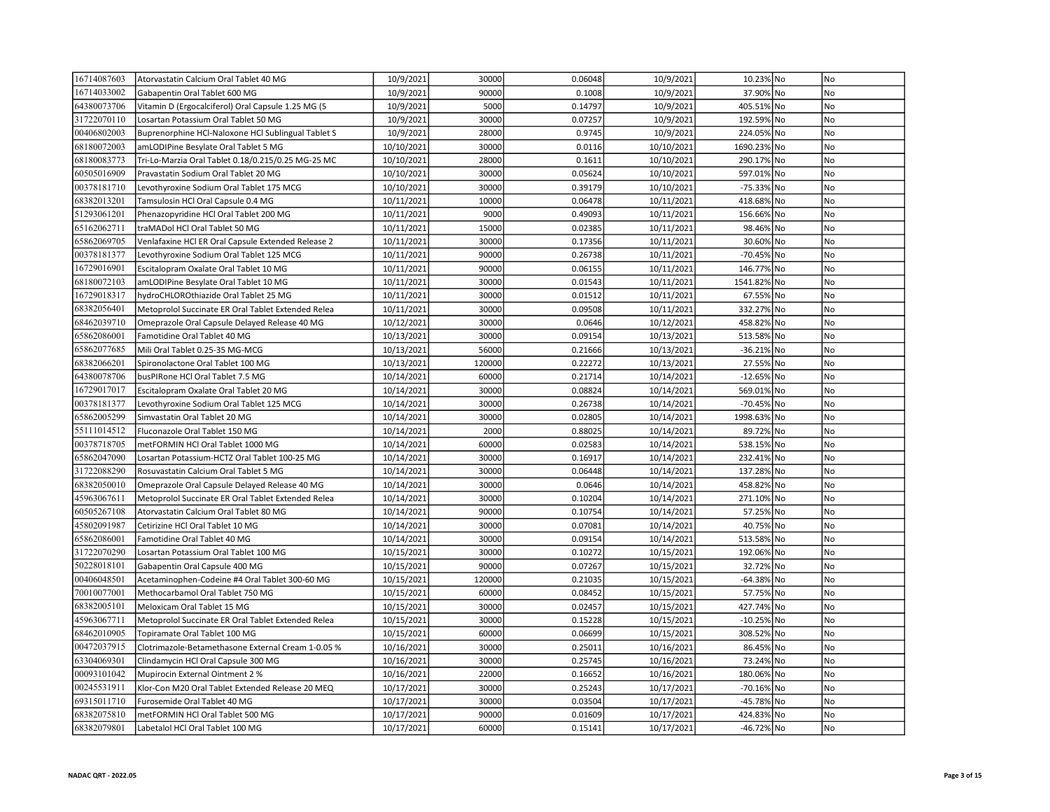| 16714087603 | Atorvastatin Calcium Oral Tablet 40 MG             | 10/9/2021  | 30000  | 0.06048 | 10/9/2021  | 10.23% No     | No             |
|-------------|----------------------------------------------------|------------|--------|---------|------------|---------------|----------------|
| 16714033002 | Gabapentin Oral Tablet 600 MG                      | 10/9/2021  | 90000  | 0.1008  | 10/9/2021  | 37.90% No     | No             |
| 64380073706 | Vitamin D (Ergocalciferol) Oral Capsule 1.25 MG (5 | 10/9/2021  | 5000   | 0.14797 | 10/9/2021  | 405.51% No    | No             |
| 31722070110 | Losartan Potassium Oral Tablet 50 MG               | 10/9/2021  | 30000  | 0.07257 | 10/9/2021  | 192.59% No    | No             |
| 00406802003 | Buprenorphine HCl-Naloxone HCl Sublingual Tablet S | 10/9/2021  | 28000  | 0.9745  | 10/9/2021  | 224.05% No    | No             |
| 68180072003 | amLODIPine Besylate Oral Tablet 5 MG               | 10/10/2021 | 30000  | 0.0116  | 10/10/2021 | 1690.23% No   | <b>No</b>      |
| 68180083773 | Tri-Lo-Marzia Oral Tablet 0.18/0.215/0.25 MG-25 MC | 10/10/2021 | 28000  | 0.1611  | 10/10/2021 | 290.17% No    | N <sub>o</sub> |
| 60505016909 | Pravastatin Sodium Oral Tablet 20 MG               | 10/10/2021 | 30000  | 0.05624 | 10/10/2021 | 597.01% No    | No             |
| 00378181710 | Levothyroxine Sodium Oral Tablet 175 MCG           | 10/10/2021 | 30000  | 0.39179 | 10/10/2021 | -75.33% No    | No             |
| 68382013201 | Tamsulosin HCl Oral Capsule 0.4 MG                 | 10/11/2021 | 10000  | 0.06478 | 10/11/2021 | 418.68% No    | No             |
| 51293061201 | Phenazopyridine HCl Oral Tablet 200 MG             | 10/11/2021 | 9000   | 0.49093 | 10/11/2021 | 156.66% No    | No             |
| 65162062711 | traMADol HCl Oral Tablet 50 MG                     | 10/11/2021 | 15000  | 0.02385 | 10/11/2021 | 98.46% No     | No             |
| 65862069705 | Venlafaxine HCl ER Oral Capsule Extended Release 2 | 10/11/2021 | 30000  | 0.17356 | 10/11/2021 | 30.60% No     | No             |
| 00378181377 | Levothyroxine Sodium Oral Tablet 125 MCG           | 10/11/2021 | 90000  | 0.26738 | 10/11/2021 | -70.45% No    | No             |
| 16729016901 | Escitalopram Oxalate Oral Tablet 10 MG             | 10/11/2021 | 90000  | 0.06155 | 10/11/2021 | 146.77% No    | No             |
| 68180072103 | amLODIPine Besylate Oral Tablet 10 MG              | 10/11/2021 | 30000  | 0.01543 | 10/11/2021 | 1541.82% No   | No             |
| 16729018317 | hydroCHLOROthiazide Oral Tablet 25 MG              | 10/11/2021 | 30000  | 0.01512 | 10/11/2021 | 67.55% No     | No             |
| 68382056401 | Metoprolol Succinate ER Oral Tablet Extended Relea | 10/11/2021 | 30000  | 0.09508 | 10/11/2021 | 332.27% No    | No             |
| 68462039710 | Omeprazole Oral Capsule Delayed Release 40 MG      | 10/12/2021 | 30000  | 0.0646  | 10/12/2021 | 458.82% No    | <b>No</b>      |
| 65862086001 | Famotidine Oral Tablet 40 MG                       | 10/13/2021 | 30000  | 0.09154 | 10/13/2021 | 513.58% No    | No             |
| 65862077685 | Mili Oral Tablet 0.25-35 MG-MCG                    | 10/13/2021 | 56000  | 0.21666 | 10/13/2021 | -36.21% No    | No             |
| 68382066201 | Spironolactone Oral Tablet 100 MG                  | 10/13/2021 | 120000 | 0.22272 | 10/13/2021 | 27.55% No     | No             |
| 64380078706 | busPIRone HCl Oral Tablet 7.5 MG                   | 10/14/2021 | 60000  | 0.21714 | 10/14/2021 | -12.65% No    | No             |
| 16729017017 | Escitalopram Oxalate Oral Tablet 20 MG             | 10/14/2021 | 30000  | 0.08824 | 10/14/2021 | 569.01% No    | No             |
| 00378181377 | Levothyroxine Sodium Oral Tablet 125 MCG           | 10/14/2021 | 30000  | 0.26738 | 10/14/2021 | -70.45% No    | No             |
| 65862005299 | Simvastatin Oral Tablet 20 MG                      | 10/14/2021 | 30000  | 0.02805 | 10/14/2021 | 1998.63% No   | N <sub>o</sub> |
| 55111014512 | Fluconazole Oral Tablet 150 MG                     | 10/14/2021 | 2000   | 0.88025 | 10/14/2021 | 89.72% No     | <b>No</b>      |
| 00378718705 | metFORMIN HCl Oral Tablet 1000 MG                  | 10/14/2021 | 60000  | 0.02583 | 10/14/2021 | 538.15% No    | No             |
| 65862047090 | Losartan Potassium-HCTZ Oral Tablet 100-25 MG      | 10/14/2021 | 30000  | 0.16917 | 10/14/2021 | 232.41% No    | No             |
| 31722088290 | Rosuvastatin Calcium Oral Tablet 5 MG              | 10/14/2021 | 30000  | 0.06448 | 10/14/2021 | 137.28% No    | No             |
| 68382050010 | Omeprazole Oral Capsule Delayed Release 40 MG      | 10/14/2021 | 30000  | 0.0646  | 10/14/2021 | 458.82% No    | No             |
| 45963067611 | Metoprolol Succinate ER Oral Tablet Extended Relea | 10/14/2021 | 30000  | 0.10204 | 10/14/2021 | 271.10% No    | No             |
| 60505267108 | Atorvastatin Calcium Oral Tablet 80 MG             | 10/14/2021 | 90000  | 0.10754 | 10/14/2021 | 57.25% No     | No             |
| 45802091987 | Cetirizine HCl Oral Tablet 10 MG                   | 10/14/2021 | 30000  | 0.07081 | 10/14/2021 | 40.75% No     | No             |
| 65862086001 | Famotidine Oral Tablet 40 MG                       | 10/14/2021 | 30000  | 0.09154 | 10/14/2021 | 513.58% No    | No             |
| 31722070290 | Losartan Potassium Oral Tablet 100 MG              | 10/15/2021 | 30000  | 0.10272 | 10/15/2021 | 192.06% No    | No             |
| 50228018101 | Gabapentin Oral Capsule 400 MG                     | 10/15/2021 | 90000  | 0.07267 | 10/15/2021 | 32.72% No     | No             |
| 00406048501 | Acetaminophen-Codeine #4 Oral Tablet 300-60 MG     | 10/15/2021 | 120000 | 0.21035 | 10/15/2021 | -64.38% No    | No             |
| 70010077001 | Methocarbamol Oral Tablet 750 MG                   | 10/15/2021 | 60000  | 0.08452 | 10/15/2021 | 57.75% No     | No             |
| 68382005101 | Meloxicam Oral Tablet 15 MG                        | 10/15/2021 | 30000  | 0.02457 | 10/15/2021 | 427.74% No    | No             |
| 45963067711 | Metoprolol Succinate ER Oral Tablet Extended Relea | 10/15/2021 | 30000  | 0.15228 | 10/15/2021 | $-10.25\%$ No | No             |
| 68462010905 | Topiramate Oral Tablet 100 MG                      | 10/15/2021 | 60000  | 0.06699 | 10/15/2021 | 308.52% No    | No             |
| 00472037915 | Clotrimazole-Betamethasone External Cream 1-0.05 % | 10/16/2021 | 30000  | 0.25011 | 10/16/2021 | 86.45% No     | No             |
| 63304069301 | Clindamycin HCl Oral Capsule 300 MG                | 10/16/2021 | 30000  | 0.25745 | 10/16/2021 | 73.24% No     | No             |
| 00093101042 | Mupirocin External Ointment 2 %                    | 10/16/2021 | 22000  | 0.16652 | 10/16/2021 | 180.06% No    | No             |
| 00245531911 | Klor-Con M20 Oral Tablet Extended Release 20 MEQ   | 10/17/2021 | 30000  | 0.25243 | 10/17/2021 | -70.16% No    | No             |
| 69315011710 | Furosemide Oral Tablet 40 MG                       | 10/17/2021 | 30000  | 0.03504 | 10/17/2021 | -45.78% No    | N <sub>o</sub> |
| 68382075810 | metFORMIN HCl Oral Tablet 500 MG                   | 10/17/2021 | 90000  | 0.01609 | 10/17/2021 | 424.83% No    | N <sub>o</sub> |
| 68382079801 | Labetalol HCl Oral Tablet 100 MG                   | 10/17/2021 | 60000  | 0.15141 | 10/17/2021 | -46.72% No    | No             |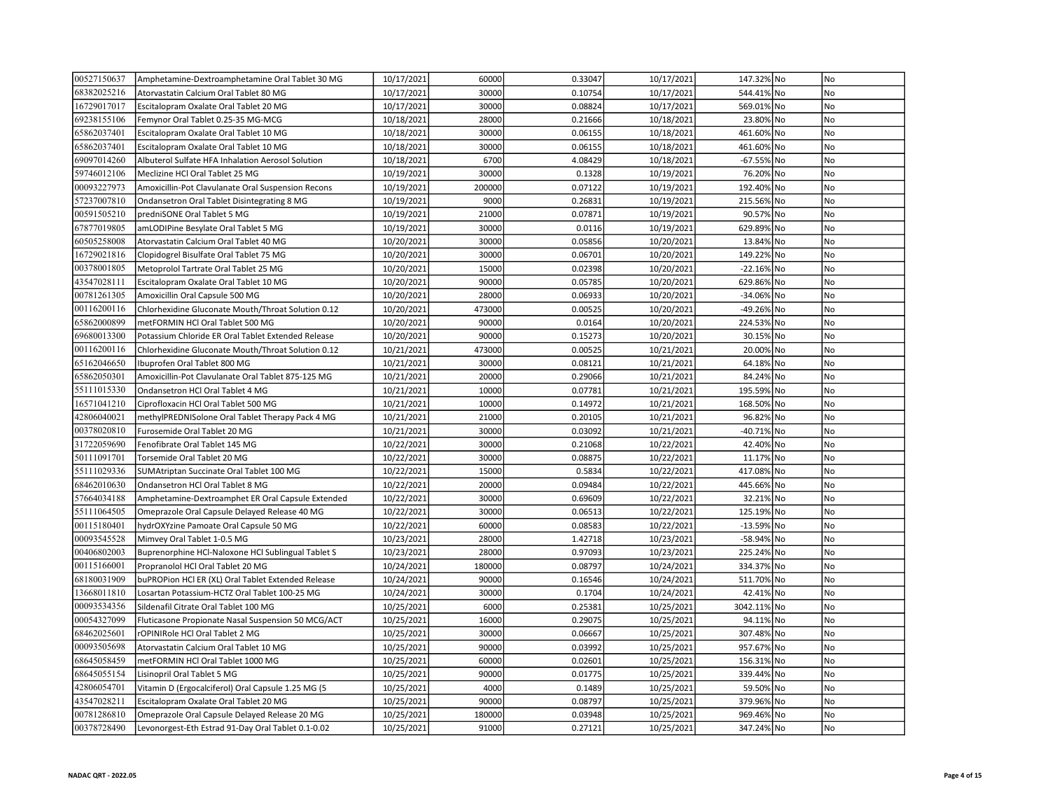| 00527150637 | Amphetamine-Dextroamphetamine Oral Tablet 30 MG    | 10/17/2021 | 60000  | 0.33047 | 10/17/2021 | 147.32% No  | No             |
|-------------|----------------------------------------------------|------------|--------|---------|------------|-------------|----------------|
| 68382025216 | Atorvastatin Calcium Oral Tablet 80 MG             | 10/17/2021 | 30000  | 0.10754 | 10/17/2021 | 544.41% No  | No             |
| 16729017017 | Escitalopram Oxalate Oral Tablet 20 MG             | 10/17/2021 | 30000  | 0.08824 | 10/17/2021 | 569.01% No  | No             |
| 69238155106 | Femynor Oral Tablet 0.25-35 MG-MCG                 | 10/18/2021 | 28000  | 0.21666 | 10/18/2021 | 23.80% No   | No             |
| 65862037401 | Escitalopram Oxalate Oral Tablet 10 MG             | 10/18/2021 | 30000  | 0.06155 | 10/18/2021 | 461.60% No  | No             |
| 65862037401 | Escitalopram Oxalate Oral Tablet 10 MG             | 10/18/2021 | 30000  | 0.06155 | 10/18/2021 | 461.60% No  | <b>No</b>      |
| 69097014260 | Albuterol Sulfate HFA Inhalation Aerosol Solution  | 10/18/2021 | 6700   | 4.08429 | 10/18/2021 | -67.55% No  | No             |
| 59746012106 | Meclizine HCl Oral Tablet 25 MG                    | 10/19/2021 | 30000  | 0.1328  | 10/19/2021 | 76.20% No   | No             |
| 00093227973 | Amoxicillin-Pot Clavulanate Oral Suspension Recons | 10/19/2021 | 200000 | 0.07122 | 10/19/2021 | 192.40% No  | No             |
| 57237007810 | Ondansetron Oral Tablet Disintegrating 8 MG        | 10/19/2021 | 9000   | 0.26831 | 10/19/2021 | 215.56% No  | No             |
| 00591505210 | predniSONE Oral Tablet 5 MG                        | 10/19/2021 | 21000  | 0.07871 | 10/19/2021 | 90.57% No   | No             |
| 67877019805 | amLODIPine Besylate Oral Tablet 5 MG               | 10/19/2021 | 30000  | 0.0116  | 10/19/2021 | 629.89% No  | No             |
| 60505258008 | Atorvastatin Calcium Oral Tablet 40 MG             | 10/20/2021 | 30000  | 0.05856 | 10/20/2021 | 13.84% No   | No             |
| 16729021816 | Clopidogrel Bisulfate Oral Tablet 75 MG            | 10/20/2021 | 30000  | 0.06701 | 10/20/2021 | 149.22% No  | No             |
| 00378001805 | Metoprolol Tartrate Oral Tablet 25 MG              | 10/20/2021 | 15000  | 0.02398 | 10/20/2021 | -22.16% No  | No             |
| 43547028111 | Escitalopram Oxalate Oral Tablet 10 MG             | 10/20/2021 | 90000  | 0.05785 | 10/20/2021 | 629.86% No  | No             |
| 00781261305 | Amoxicillin Oral Capsule 500 MG                    | 10/20/2021 | 28000  | 0.06933 | 10/20/2021 | -34.06% No  | No             |
| 00116200116 | Chlorhexidine Gluconate Mouth/Throat Solution 0.12 | 10/20/2021 | 473000 | 0.00525 | 10/20/2021 | -49.26% No  | No             |
| 65862000899 | metFORMIN HCl Oral Tablet 500 MG                   | 10/20/2021 | 90000  | 0.0164  | 10/20/2021 | 224.53% No  | No             |
| 69680013300 | Potassium Chloride ER Oral Tablet Extended Release | 10/20/2021 | 90000  | 0.15273 | 10/20/2021 | 30.15% No   | No             |
| 00116200116 | Chlorhexidine Gluconate Mouth/Throat Solution 0.12 | 10/21/2021 | 473000 | 0.00525 | 10/21/2021 | 20.00% No   | No             |
| 65162046650 | Ibuprofen Oral Tablet 800 MG                       | 10/21/2021 | 30000  | 0.08121 | 10/21/2021 | 64.18% No   | No             |
| 65862050301 | Amoxicillin-Pot Clavulanate Oral Tablet 875-125 MG | 10/21/2021 | 20000  | 0.29066 | 10/21/2021 | 84.24% No   | No             |
| 55111015330 | Ondansetron HCl Oral Tablet 4 MG                   | 10/21/2021 | 10000  | 0.07781 | 10/21/2021 | 195.59% No  | No             |
| 16571041210 | Ciprofloxacin HCl Oral Tablet 500 MG               | 10/21/2021 | 10000  | 0.14972 | 10/21/2021 | 168.50% No  | No             |
| 42806040021 | methylPREDNISolone Oral Tablet Therapy Pack 4 MG   | 10/21/2021 | 21000  | 0.20105 | 10/21/2021 | 96.82% No   | N <sub>o</sub> |
| 00378020810 | Furosemide Oral Tablet 20 MG                       | 10/21/2021 | 30000  | 0.03092 | 10/21/2021 | -40.71% No  | No             |
| 31722059690 | Fenofibrate Oral Tablet 145 MG                     | 10/22/2021 | 30000  | 0.21068 | 10/22/2021 | 42.40% No   | No             |
| 50111091701 | Torsemide Oral Tablet 20 MG                        | 10/22/2021 | 30000  | 0.08875 | 10/22/2021 | 11.17% No   | No             |
| 55111029336 | SUMAtriptan Succinate Oral Tablet 100 MG           | 10/22/2021 | 15000  | 0.5834  | 10/22/2021 | 417.08% No  | No             |
| 68462010630 | Ondansetron HCl Oral Tablet 8 MG                   | 10/22/2021 | 20000  | 0.09484 | 10/22/2021 | 445.66% No  | No             |
| 57664034188 | Amphetamine-Dextroamphet ER Oral Capsule Extended  | 10/22/2021 | 30000  | 0.69609 | 10/22/2021 | 32.21% No   | No             |
| 55111064505 | Omeprazole Oral Capsule Delayed Release 40 MG      | 10/22/2021 | 30000  | 0.06513 | 10/22/2021 | 125.19% No  | No             |
| 00115180401 | hydrOXYzine Pamoate Oral Capsule 50 MG             | 10/22/2021 | 60000  | 0.08583 | 10/22/2021 | -13.59% No  | No             |
| 00093545528 | Mimvey Oral Tablet 1-0.5 MG                        | 10/23/2021 | 28000  | 1.42718 | 10/23/2021 | -58.94% No  | No             |
| 00406802003 | Buprenorphine HCl-Naloxone HCl Sublingual Tablet S | 10/23/2021 | 28000  | 0.97093 | 10/23/2021 | 225.24% No  | No             |
| 00115166001 | Propranolol HCl Oral Tablet 20 MG                  | 10/24/2021 | 180000 | 0.08797 | 10/24/2021 | 334.37% No  | No             |
| 68180031909 | buPROPion HCl ER (XL) Oral Tablet Extended Release | 10/24/2021 | 90000  | 0.16546 | 10/24/2021 | 511.70% No  | No             |
| 13668011810 | Losartan Potassium-HCTZ Oral Tablet 100-25 MG      | 10/24/2021 | 30000  | 0.1704  | 10/24/2021 | 42.41% No   | No             |
| 00093534356 | Sildenafil Citrate Oral Tablet 100 MG              | 10/25/2021 | 6000   | 0.25381 | 10/25/2021 | 3042.11% No | No             |
| 00054327099 | Fluticasone Propionate Nasal Suspension 50 MCG/ACT | 10/25/2021 | 16000  | 0.29075 | 10/25/2021 | 94.11% No   | No             |
| 68462025601 | rOPINIRole HCl Oral Tablet 2 MG                    | 10/25/2021 | 30000  | 0.06667 | 10/25/2021 | 307.48% No  | No             |
| 00093505698 | Atorvastatin Calcium Oral Tablet 10 MG             | 10/25/2021 | 90000  | 0.03992 | 10/25/2021 | 957.67% No  | No             |
| 68645058459 | metFORMIN HCl Oral Tablet 1000 MG                  | 10/25/2021 | 60000  | 0.02601 | 10/25/2021 | 156.31% No  | No             |
| 68645055154 | Lisinopril Oral Tablet 5 MG                        | 10/25/2021 | 90000  | 0.01775 | 10/25/2021 | 339.44% No  | No             |
| 42806054701 | Vitamin D (Ergocalciferol) Oral Capsule 1.25 MG (5 | 10/25/2021 | 4000   | 0.1489  | 10/25/2021 | 59.50% No   | No             |
| 43547028211 | Escitalopram Oxalate Oral Tablet 20 MG             | 10/25/2021 | 90000  | 0.08797 | 10/25/2021 | 379.96% No  | <b>No</b>      |
| 00781286810 | Omeprazole Oral Capsule Delayed Release 20 MG      | 10/25/2021 | 180000 | 0.03948 | 10/25/2021 | 969.46% No  | No             |
| 00378728490 | Levonorgest-Eth Estrad 91-Day Oral Tablet 0.1-0.02 | 10/25/2021 | 91000  | 0.27121 | 10/25/2021 | 347.24% No  | No             |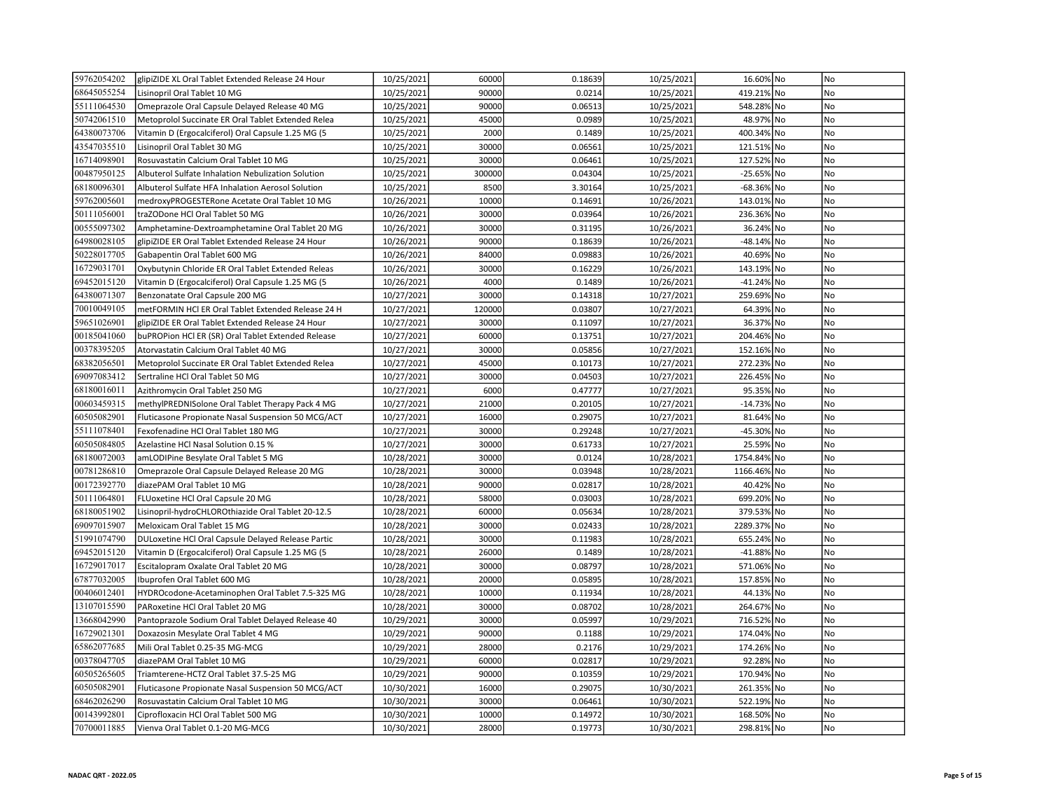| 59762054202 | glipiZIDE XL Oral Tablet Extended Release 24 Hour  | 10/25/2021 | 60000  | 0.18639 | 10/25/2021 | 16.60% No   | No             |
|-------------|----------------------------------------------------|------------|--------|---------|------------|-------------|----------------|
| 68645055254 | Lisinopril Oral Tablet 10 MG                       | 10/25/2021 | 90000  | 0.0214  | 10/25/2021 | 419.21% No  | No             |
| 55111064530 | Omeprazole Oral Capsule Delayed Release 40 MG      | 10/25/2021 | 90000  | 0.06513 | 10/25/2021 | 548.28% No  | No             |
| 50742061510 | Metoprolol Succinate ER Oral Tablet Extended Relea | 10/25/2021 | 45000  | 0.0989  | 10/25/2021 | 48.97% No   | No             |
| 64380073706 | Vitamin D (Ergocalciferol) Oral Capsule 1.25 MG (5 | 10/25/2021 | 2000   | 0.1489  | 10/25/2021 | 400.34% No  | N <sub>o</sub> |
| 43547035510 | Lisinopril Oral Tablet 30 MG                       | 10/25/2021 | 30000  | 0.06561 | 10/25/2021 | 121.51% No  | No             |
| 16714098901 | Rosuvastatin Calcium Oral Tablet 10 MG             | 10/25/2021 | 30000  | 0.06461 | 10/25/2021 | 127.52% No  | No             |
| 00487950125 | Albuterol Sulfate Inhalation Nebulization Solution | 10/25/2021 | 300000 | 0.04304 | 10/25/2021 | -25.65% No  | No             |
| 68180096301 | Albuterol Sulfate HFA Inhalation Aerosol Solution  | 10/25/2021 | 8500   | 3.30164 | 10/25/2021 | -68.36% No  | No             |
| 59762005601 | medroxyPROGESTERone Acetate Oral Tablet 10 MG      | 10/26/2021 | 10000  | 0.14691 | 10/26/2021 | 143.01% No  | No             |
| 50111056001 | traZODone HCl Oral Tablet 50 MG                    | 10/26/2021 | 30000  | 0.03964 | 10/26/2021 | 236.36% No  | No             |
| 00555097302 | Amphetamine-Dextroamphetamine Oral Tablet 20 MG    | 10/26/2021 | 30000  | 0.31195 | 10/26/2021 | 36.24% No   | No             |
| 64980028105 | glipiZIDE ER Oral Tablet Extended Release 24 Hour  | 10/26/2021 | 90000  | 0.18639 | 10/26/2021 | -48.14% No  | No             |
| 50228017705 | Gabapentin Oral Tablet 600 MG                      | 10/26/2021 | 84000  | 0.09883 | 10/26/2021 | 40.69% No   | No             |
| 16729031701 | Oxybutynin Chloride ER Oral Tablet Extended Releas | 10/26/2021 | 30000  | 0.16229 | 10/26/2021 | 143.19% No  | No             |
| 69452015120 | Vitamin D (Ergocalciferol) Oral Capsule 1.25 MG (5 | 10/26/2021 | 4000   | 0.1489  | 10/26/2021 | -41.24% No  | No             |
| 64380071307 | Benzonatate Oral Capsule 200 MG                    | 10/27/2021 | 30000  | 0.14318 | 10/27/2021 | 259.69% No  | No             |
| 70010049105 | metFORMIN HCI ER Oral Tablet Extended Release 24 H | 10/27/2021 | 120000 | 0.03807 | 10/27/2021 | 64.39% No   | No             |
| 59651026901 | glipiZIDE ER Oral Tablet Extended Release 24 Hour  | 10/27/2021 | 30000  | 0.11097 | 10/27/2021 | 36.37% No   | No             |
| 00185041060 | buPROPion HCl ER (SR) Oral Tablet Extended Release | 10/27/2021 | 60000  | 0.13751 | 10/27/2021 | 204.46% No  | No             |
| 00378395205 | Atorvastatin Calcium Oral Tablet 40 MG             | 10/27/2021 | 30000  | 0.05856 | 10/27/2021 | 152.16% No  | No             |
| 68382056501 | Metoprolol Succinate ER Oral Tablet Extended Relea | 10/27/2021 | 45000  | 0.10173 | 10/27/2021 | 272.23% No  | No             |
| 69097083412 | Sertraline HCl Oral Tablet 50 MG                   | 10/27/2021 | 30000  | 0.04503 | 10/27/2021 | 226.45% No  | <b>No</b>      |
| 68180016011 | Azithromycin Oral Tablet 250 MG                    | 10/27/2021 | 6000   | 0.47777 | 10/27/2021 | 95.35% No   | No             |
| 00603459315 | methylPREDNISolone Oral Tablet Therapy Pack 4 MG   | 10/27/2021 | 21000  | 0.20105 | 10/27/2021 | -14.73% No  | No             |
| 60505082901 | Fluticasone Propionate Nasal Suspension 50 MCG/ACT | 10/27/2021 | 16000  | 0.29075 | 10/27/2021 | 81.64% No   | <b>No</b>      |
| 55111078401 | Fexofenadine HCl Oral Tablet 180 MG                | 10/27/2021 | 30000  | 0.29248 | 10/27/2021 | -45.30% No  | N <sub>o</sub> |
| 60505084805 | Azelastine HCl Nasal Solution 0.15 %               | 10/27/2021 | 30000  | 0.61733 | 10/27/2021 | 25.59% No   | No             |
| 68180072003 | amLODIPine Besylate Oral Tablet 5 MG               | 10/28/2021 | 30000  | 0.0124  | 10/28/2021 | 1754.84% No | No             |
| 00781286810 | Omeprazole Oral Capsule Delayed Release 20 MG      | 10/28/2021 | 30000  | 0.03948 | 10/28/2021 | 1166.46% No | No             |
| 00172392770 | diazePAM Oral Tablet 10 MG                         | 10/28/2021 | 90000  | 0.02817 | 10/28/2021 | 40.42% No   | No             |
| 50111064801 | FLUoxetine HCl Oral Capsule 20 MG                  | 10/28/2021 | 58000  | 0.03003 | 10/28/2021 | 699.20% No  | No             |
| 68180051902 | Lisinopril-hydroCHLOROthiazide Oral Tablet 20-12.5 | 10/28/2021 | 60000  | 0.05634 | 10/28/2021 | 379.53% No  | No             |
| 69097015907 | Meloxicam Oral Tablet 15 MG                        | 10/28/2021 | 30000  | 0.02433 | 10/28/2021 | 2289.37% No | No             |
| 51991074790 | DULoxetine HCl Oral Capsule Delayed Release Partic | 10/28/2021 | 30000  | 0.11983 | 10/28/2021 | 655.24% No  | No             |
| 69452015120 | Vitamin D (Ergocalciferol) Oral Capsule 1.25 MG (5 | 10/28/2021 | 26000  | 0.1489  | 10/28/2021 | -41.88% No  | No             |
| 16729017017 | Escitalopram Oxalate Oral Tablet 20 MG             | 10/28/2021 | 30000  | 0.08797 | 10/28/2021 | 571.06% No  | No             |
| 67877032005 | Ibuprofen Oral Tablet 600 MG                       | 10/28/2021 | 20000  | 0.05895 | 10/28/2021 | 157.85% No  | No             |
| 00406012401 | HYDROcodone-Acetaminophen Oral Tablet 7.5-325 MG   | 10/28/2021 | 10000  | 0.11934 | 10/28/2021 | 44.13% No   | No             |
| 13107015590 | PARoxetine HCl Oral Tablet 20 MG                   | 10/28/2021 | 30000  | 0.08702 | 10/28/2021 | 264.67% No  | No             |
| 13668042990 | Pantoprazole Sodium Oral Tablet Delayed Release 40 | 10/29/2021 | 30000  | 0.05997 | 10/29/2021 | 716.52% No  | No             |
| 16729021301 | Doxazosin Mesylate Oral Tablet 4 MG                | 10/29/2021 | 90000  | 0.1188  | 10/29/2021 | 174.04% No  | No             |
| 65862077685 | Mili Oral Tablet 0.25-35 MG-MCG                    | 10/29/2021 | 28000  | 0.2176  | 10/29/2021 | 174.26% No  | No             |
| 00378047705 | diazePAM Oral Tablet 10 MG                         | 10/29/2021 | 60000  | 0.02817 | 10/29/2021 | 92.28% No   | No             |
| 60505265605 | Triamterene-HCTZ Oral Tablet 37.5-25 MG            | 10/29/2021 | 90000  | 0.10359 | 10/29/2021 | 170.94% No  | No             |
| 60505082901 | Fluticasone Propionate Nasal Suspension 50 MCG/ACT | 10/30/2021 | 16000  | 0.29075 | 10/30/2021 | 261.35% No  | No             |
| 68462026290 | Rosuvastatin Calcium Oral Tablet 10 MG             | 10/30/2021 | 30000  | 0.06461 | 10/30/2021 | 522.19% No  | No             |
| 00143992801 | Ciprofloxacin HCl Oral Tablet 500 MG               | 10/30/2021 | 10000  | 0.14972 | 10/30/2021 | 168.50% No  | No             |
| 70700011885 | Vienva Oral Tablet 0.1-20 MG-MCG                   | 10/30/2021 | 28000  | 0.19773 | 10/30/2021 | 298.81% No  | No             |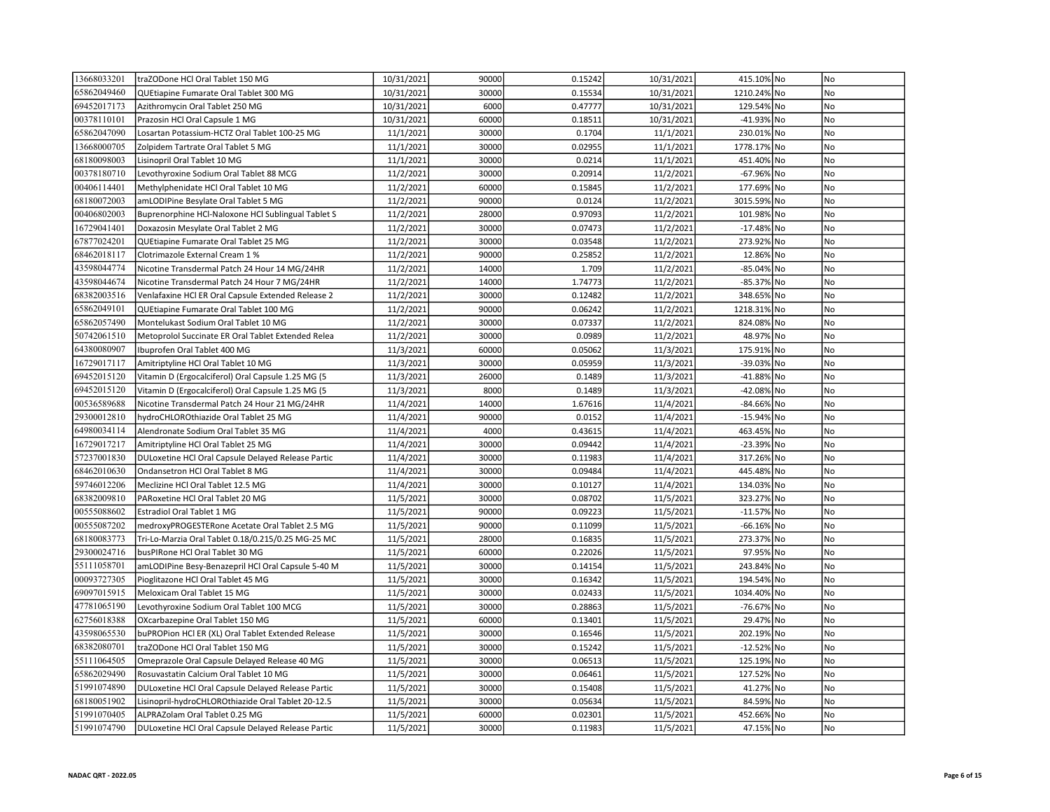| 13668033201 | traZODone HCl Oral Tablet 150 MG                   | 10/31/2021 | 90000 | 0.15242 | 10/31/2021 | 415.10% No  |           | No             |
|-------------|----------------------------------------------------|------------|-------|---------|------------|-------------|-----------|----------------|
| 65862049460 | QUEtiapine Fumarate Oral Tablet 300 MG             | 10/31/2021 | 30000 | 0.15534 | 10/31/2021 | 1210.24% No |           | No             |
| 69452017173 | Azithromycin Oral Tablet 250 MG                    | 10/31/2021 | 6000  | 0.47777 | 10/31/2021 | 129.54% No  |           | No             |
| 00378110101 | Prazosin HCl Oral Capsule 1 MG                     | 10/31/2021 | 60000 | 0.18511 | 10/31/2021 | -41.93% No  |           | <b>No</b>      |
| 65862047090 | Losartan Potassium-HCTZ Oral Tablet 100-25 MG      | 11/1/2021  | 30000 | 0.1704  | 11/1/2021  | 230.01% No  |           | <b>No</b>      |
| 13668000705 | Zolpidem Tartrate Oral Tablet 5 MG                 | 11/1/2021  | 30000 | 0.02955 | 11/1/2021  | 1778.17% No |           | N <sub>o</sub> |
| 68180098003 | Lisinopril Oral Tablet 10 MG                       | 11/1/2021  | 30000 | 0.0214  | 11/1/2021  | 451.40% No  |           | No             |
| 00378180710 | Levothyroxine Sodium Oral Tablet 88 MCG            | 11/2/2021  | 30000 | 0.20914 | 11/2/2021  | -67.96% No  |           | No             |
| 00406114401 | Methylphenidate HCl Oral Tablet 10 MG              | 11/2/2021  | 60000 | 0.15845 | 11/2/2021  | 177.69% No  |           | No             |
| 68180072003 | amLODIPine Besylate Oral Tablet 5 MG               | 11/2/2021  | 90000 | 0.0124  | 11/2/2021  | 3015.59% No |           | No             |
| 00406802003 | Buprenorphine HCl-Naloxone HCl Sublingual Tablet S | 11/2/2021  | 28000 | 0.97093 | 11/2/2021  | 101.98% No  |           | <b>No</b>      |
| 16729041401 | Doxazosin Mesylate Oral Tablet 2 MG                | 11/2/2021  | 30000 | 0.07473 | 11/2/2021  | -17.48% No  |           | No             |
| 67877024201 | QUEtiapine Fumarate Oral Tablet 25 MG              | 11/2/2021  | 30000 | 0.03548 | 11/2/2021  | 273.92% No  |           | No             |
| 68462018117 | Clotrimazole External Cream 1 %                    | 11/2/2021  | 90000 | 0.25852 | 11/2/2021  | 12.86% No   |           | No             |
| 43598044774 | Nicotine Transdermal Patch 24 Hour 14 MG/24HR      | 11/2/2021  | 14000 | 1.709   | 11/2/2021  | -85.04% No  |           | No             |
| 43598044674 | Nicotine Transdermal Patch 24 Hour 7 MG/24HR       | 11/2/2021  | 14000 | 1.74773 | 11/2/2021  | -85.37% No  |           | No             |
| 68382003516 | Venlafaxine HCl ER Oral Capsule Extended Release 2 | 11/2/2021  | 30000 | 0.12482 | 11/2/2021  | 348.65% No  |           | <b>No</b>      |
| 65862049101 | QUEtiapine Fumarate Oral Tablet 100 MG             | 11/2/2021  | 90000 | 0.06242 | 11/2/2021  | 1218.31% No |           | No             |
| 65862057490 | Montelukast Sodium Oral Tablet 10 MG               | 11/2/2021  | 30000 | 0.07337 | 11/2/2021  | 824.08% No  |           | No             |
| 50742061510 | Metoprolol Succinate ER Oral Tablet Extended Relea | 11/2/2021  | 30000 | 0.0989  | 11/2/2021  | 48.97% No   |           | No             |
| 64380080907 | Ibuprofen Oral Tablet 400 MG                       | 11/3/2021  | 60000 | 0.05062 | 11/3/2021  | 175.91% No  |           | No             |
| 16729017117 | Amitriptyline HCl Oral Tablet 10 MG                | 11/3/2021  | 30000 | 0.05959 | 11/3/2021  | -39.03% No  |           | No             |
| 69452015120 | Vitamin D (Ergocalciferol) Oral Capsule 1.25 MG (5 | 11/3/2021  | 26000 | 0.1489  | 11/3/2021  | -41.88% No  |           | N <sub>o</sub> |
| 69452015120 | Vitamin D (Ergocalciferol) Oral Capsule 1.25 MG (5 | 11/3/2021  | 8000  | 0.1489  | 11/3/2021  | $-42.08%$   | <b>No</b> | No             |
| 00536589688 | Nicotine Transdermal Patch 24 Hour 21 MG/24HR      | 11/4/2021  | 14000 | 1.67616 | 11/4/2021  | -84.66% No  |           | No             |
| 29300012810 | hydroCHLOROthiazide Oral Tablet 25 MG              | 11/4/2021  | 90000 | 0.0152  | 11/4/2021  | -15.94% No  |           | N <sub>o</sub> |
| 64980034114 | Alendronate Sodium Oral Tablet 35 MG               | 11/4/2021  | 4000  | 0.43615 | 11/4/2021  | 463.45% No  |           | N <sub>o</sub> |
| 16729017217 | Amitriptyline HCl Oral Tablet 25 MG                | 11/4/2021  | 30000 | 0.09442 | 11/4/2021  | -23.39% No  |           | No             |
| 57237001830 | DULoxetine HCl Oral Capsule Delayed Release Partic | 11/4/2021  | 30000 | 0.11983 | 11/4/2021  | 317.26% No  |           | No             |
| 68462010630 | Ondansetron HCl Oral Tablet 8 MG                   | 11/4/2021  | 30000 | 0.09484 | 11/4/2021  | 445.48% No  |           | No             |
| 59746012206 | Meclizine HCl Oral Tablet 12.5 MG                  | 11/4/2021  | 30000 | 0.10127 | 11/4/2021  | 134.03% No  |           | No             |
| 68382009810 | PARoxetine HCl Oral Tablet 20 MG                   | 11/5/2021  | 30000 | 0.08702 | 11/5/2021  | 323.27% No  |           | No             |
| 00555088602 | Estradiol Oral Tablet 1 MG                         | 11/5/2021  | 90000 | 0.09223 | 11/5/2021  | -11.57% No  |           | No             |
| 00555087202 | medroxyPROGESTERone Acetate Oral Tablet 2.5 MG     | 11/5/2021  | 90000 | 0.11099 | 11/5/2021  | -66.16% No  |           | No             |
| 68180083773 | Tri-Lo-Marzia Oral Tablet 0.18/0.215/0.25 MG-25 MC | 11/5/2021  | 28000 | 0.16835 | 11/5/2021  | 273.37% No  |           | No             |
| 29300024716 | busPIRone HCl Oral Tablet 30 MG                    | 11/5/2021  | 60000 | 0.22026 | 11/5/2021  | 97.95% No   |           | No             |
| 55111058701 | amLODIPine Besy-Benazepril HCl Oral Capsule 5-40 M | 11/5/2021  | 30000 | 0.14154 | 11/5/2021  | 243.84% No  |           | <b>No</b>      |
| 00093727305 | Pioglitazone HCl Oral Tablet 45 MG                 | 11/5/2021  | 30000 | 0.16342 | 11/5/2021  | 194.54% No  |           | No             |
| 69097015915 | Meloxicam Oral Tablet 15 MG                        | 11/5/2021  | 30000 | 0.02433 | 11/5/2021  | 1034.40% No |           | No             |
| 47781065190 | Levothyroxine Sodium Oral Tablet 100 MCG           | 11/5/2021  | 30000 | 0.28863 | 11/5/2021  | -76.67% No  |           | No             |
| 62756018388 | OXcarbazepine Oral Tablet 150 MG                   | 11/5/2021  | 60000 | 0.13401 | 11/5/2021  | 29.47% No   |           | No             |
| 43598065530 | buPROPion HCl ER (XL) Oral Tablet Extended Release | 11/5/2021  | 30000 | 0.16546 | 11/5/2021  | 202.19% No  |           | No             |
| 68382080701 | traZODone HCl Oral Tablet 150 MG                   | 11/5/2021  | 30000 | 0.15242 | 11/5/2021  | -12.52% No  |           | No             |
| 55111064505 | Omeprazole Oral Capsule Delayed Release 40 MG      | 11/5/2021  | 30000 | 0.06513 | 11/5/2021  | 125.19% No  |           | No             |
| 65862029490 | Rosuvastatin Calcium Oral Tablet 10 MG             | 11/5/2021  | 30000 | 0.06461 | 11/5/2021  | 127.52% No  |           | No             |
| 51991074890 | DULoxetine HCl Oral Capsule Delayed Release Partic | 11/5/2021  | 30000 | 0.15408 | 11/5/2021  | 41.27% No   |           | No             |
| 68180051902 | Lisinopril-hydroCHLOROthiazide Oral Tablet 20-12.5 | 11/5/2021  | 30000 | 0.05634 | 11/5/2021  | 84.59% No   |           | No             |
| 51991070405 | ALPRAZolam Oral Tablet 0.25 MG                     | 11/5/2021  | 60000 | 0.02301 | 11/5/2021  | 452.66% No  |           | No             |
| 51991074790 | DULoxetine HCl Oral Capsule Delayed Release Partic | 11/5/2021  | 30000 | 0.11983 | 11/5/2021  | 47.15% No   |           | No             |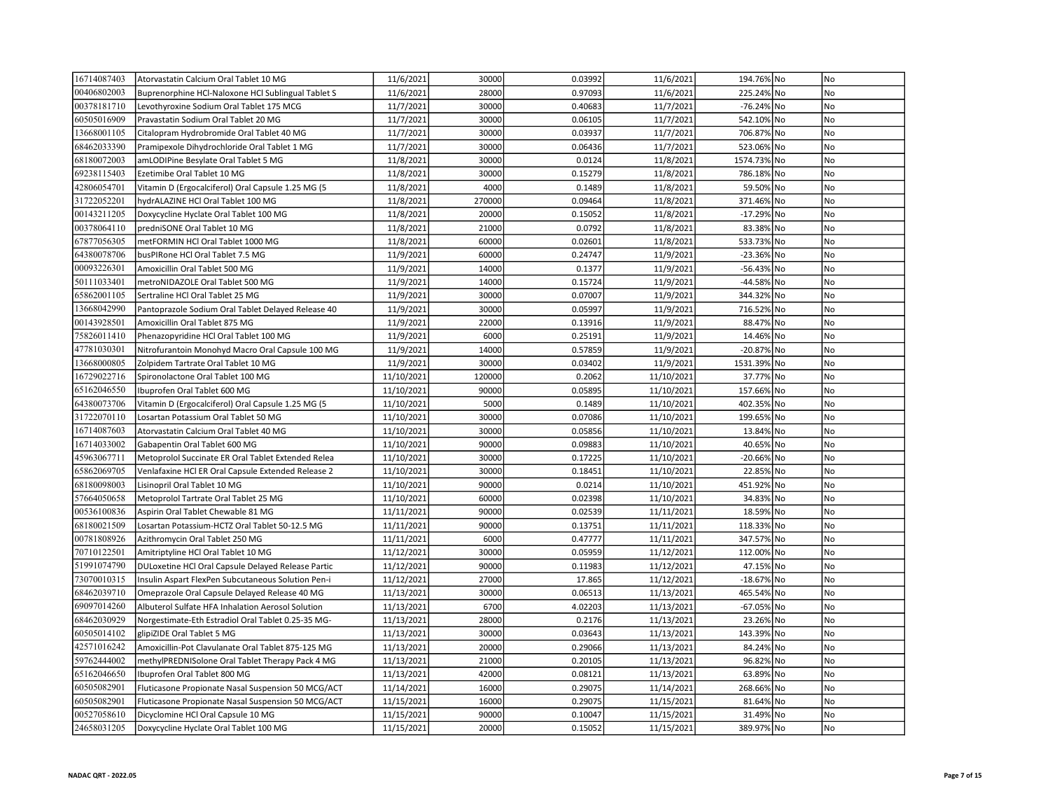| 16714087403 | Atorvastatin Calcium Oral Tablet 10 MG             | 11/6/2021  | 30000  | 0.03992 | 11/6/2021  | 194.76% No  | No             |
|-------------|----------------------------------------------------|------------|--------|---------|------------|-------------|----------------|
| 00406802003 | Buprenorphine HCl-Naloxone HCl Sublingual Tablet S | 11/6/2021  | 28000  | 0.97093 | 11/6/2021  | 225.24% No  | No             |
| 00378181710 | Levothyroxine Sodium Oral Tablet 175 MCG           | 11/7/2021  | 30000  | 0.40683 | 11/7/2021  | -76.24% No  | No             |
| 60505016909 | Pravastatin Sodium Oral Tablet 20 MG               | 11/7/2021  | 30000  | 0.06105 | 11/7/2021  | 542.10% No  | No             |
| 13668001105 | Citalopram Hydrobromide Oral Tablet 40 MG          | 11/7/2021  | 30000  | 0.03937 | 11/7/2021  | 706.87% No  | N <sub>o</sub> |
| 68462033390 | Pramipexole Dihydrochloride Oral Tablet 1 MG       | 11/7/2021  | 30000  | 0.06436 | 11/7/2021  | 523.06% No  | No             |
| 68180072003 | amLODIPine Besylate Oral Tablet 5 MG               | 11/8/2021  | 30000  | 0.0124  | 11/8/2021  | 1574.73% No | No             |
| 69238115403 | Ezetimibe Oral Tablet 10 MG                        | 11/8/2021  | 30000  | 0.15279 | 11/8/2021  | 786.18% No  | No             |
| 42806054701 | Vitamin D (Ergocalciferol) Oral Capsule 1.25 MG (5 | 11/8/2021  | 4000   | 0.1489  | 11/8/2021  | 59.50% No   | No             |
| 31722052201 | hydrALAZINE HCl Oral Tablet 100 MG                 | 11/8/2021  | 270000 | 0.09464 | 11/8/2021  | 371.46% No  | <b>No</b>      |
| 00143211205 | Doxycycline Hyclate Oral Tablet 100 MG             | 11/8/2021  | 20000  | 0.15052 | 11/8/2021  | -17.29% No  | No             |
| 00378064110 | predniSONE Oral Tablet 10 MG                       | 11/8/2021  | 21000  | 0.0792  | 11/8/2021  | 83.38% No   | No             |
| 67877056305 | metFORMIN HCl Oral Tablet 1000 MG                  | 11/8/2021  | 60000  | 0.02601 | 11/8/2021  | 533.73% No  | No             |
| 64380078706 | busPIRone HCl Oral Tablet 7.5 MG                   | 11/9/2021  | 60000  | 0.24747 | 11/9/2021  | -23.36% No  | No             |
| 00093226301 | Amoxicillin Oral Tablet 500 MG                     | 11/9/2021  | 14000  | 0.1377  | 11/9/2021  | -56.43% No  | No             |
| 50111033401 | metroNIDAZOLE Oral Tablet 500 MG                   | 11/9/2021  | 14000  | 0.15724 | 11/9/2021  | -44.58% No  | <b>No</b>      |
| 65862001105 | Sertraline HCl Oral Tablet 25 MG                   | 11/9/2021  | 30000  | 0.07007 | 11/9/2021  | 344.32% No  | No             |
| 13668042990 | Pantoprazole Sodium Oral Tablet Delayed Release 40 | 11/9/2021  | 30000  | 0.05997 | 11/9/2021  | 716.52% No  | No             |
| 00143928501 | Amoxicillin Oral Tablet 875 MG                     | 11/9/2021  | 22000  | 0.13916 | 11/9/2021  | 88.47% No   | No             |
| 75826011410 | Phenazopyridine HCl Oral Tablet 100 MG             | 11/9/2021  | 6000   | 0.25191 | 11/9/2021  | 14.46% No   | No             |
| 47781030301 | Nitrofurantoin Monohyd Macro Oral Capsule 100 MG   | 11/9/2021  | 14000  | 0.57859 | 11/9/2021  | -20.87% No  | N <sub>o</sub> |
| 13668000805 | Zolpidem Tartrate Oral Tablet 10 MG                | 11/9/2021  | 30000  | 0.03402 | 11/9/2021  | 1531.39% No | N <sub>o</sub> |
| 16729022716 | Spironolactone Oral Tablet 100 MG                  | 11/10/2021 | 120000 | 0.2062  | 11/10/2021 | 37.77% No   | No             |
| 65162046550 | Ibuprofen Oral Tablet 600 MG                       | 11/10/2021 | 90000  | 0.05895 | 11/10/2021 | 157.66% No  | No             |
| 64380073706 | Vitamin D (Ergocalciferol) Oral Capsule 1.25 MG (5 | 11/10/2021 | 5000   | 0.1489  | 11/10/2021 | 402.35% No  | No             |
| 31722070110 | Losartan Potassium Oral Tablet 50 MG               | 11/10/2021 | 30000  | 0.07086 | 11/10/2021 | 199.65% No  | No             |
| 16714087603 | Atorvastatin Calcium Oral Tablet 40 MG             | 11/10/2021 | 30000  | 0.05856 | 11/10/2021 | 13.84% No   | No             |
| 16714033002 | Gabapentin Oral Tablet 600 MG                      | 11/10/2021 | 90000  | 0.09883 | 11/10/2021 | 40.65% No   | No             |
| 45963067711 | Metoprolol Succinate ER Oral Tablet Extended Relea | 11/10/2021 | 30000  | 0.17225 | 11/10/2021 | -20.66% No  | No             |
| 65862069705 | Venlafaxine HCl ER Oral Capsule Extended Release 2 | 11/10/2021 | 30000  | 0.18451 | 11/10/2021 | 22.85% No   | No             |
| 68180098003 | Lisinopril Oral Tablet 10 MG                       | 11/10/2021 | 90000  | 0.0214  | 11/10/2021 | 451.92% No  | No             |
| 57664050658 | Metoprolol Tartrate Oral Tablet 25 MG              | 11/10/2021 | 60000  | 0.02398 | 11/10/2021 | 34.83% No   | No             |
| 00536100836 | Aspirin Oral Tablet Chewable 81 MG                 | 11/11/2021 | 90000  | 0.02539 | 11/11/2021 | 18.59% No   | No             |
| 68180021509 | Losartan Potassium-HCTZ Oral Tablet 50-12.5 MG     | 11/11/2021 | 90000  | 0.13751 | 11/11/2021 | 118.33% No  | No             |
| 00781808926 | Azithromycin Oral Tablet 250 MG                    | 11/11/2021 | 6000   | 0.47777 | 11/11/2021 | 347.57% No  | No             |
| 70710122501 | Amitriptyline HCl Oral Tablet 10 MG                | 11/12/2021 | 30000  | 0.05959 | 11/12/2021 | 112.00% No  | No             |
| 51991074790 | DULoxetine HCl Oral Capsule Delayed Release Partic | 11/12/2021 | 90000  | 0.11983 | 11/12/2021 | 47.15% No   | No             |
| 73070010315 | Insulin Aspart FlexPen Subcutaneous Solution Pen-i | 11/12/2021 | 27000  | 17.865  | 11/12/2021 | -18.67% No  | No             |
| 68462039710 | Omeprazole Oral Capsule Delayed Release 40 MG      | 11/13/2021 | 30000  | 0.06513 | 11/13/2021 | 465.54% No  | No             |
| 69097014260 | Albuterol Sulfate HFA Inhalation Aerosol Solution  | 11/13/2021 | 6700   | 4.02203 | 11/13/2021 | -67.05% No  | No             |
| 68462030929 | Norgestimate-Eth Estradiol Oral Tablet 0.25-35 MG- | 11/13/2021 | 28000  | 0.2176  | 11/13/2021 | 23.26% No   | No             |
| 60505014102 | glipiZIDE Oral Tablet 5 MG                         | 11/13/2021 | 30000  | 0.03643 | 11/13/2021 | 143.39% No  | No             |
| 42571016242 | Amoxicillin-Pot Clavulanate Oral Tablet 875-125 MG | 11/13/2021 | 20000  | 0.29066 | 11/13/2021 | 84.24% No   | No             |
| 59762444002 | methylPREDNISolone Oral Tablet Therapy Pack 4 MG   | 11/13/2021 | 21000  | 0.20105 | 11/13/2021 | 96.82% No   | No             |
| 65162046650 | Ibuprofen Oral Tablet 800 MG                       | 11/13/2021 | 42000  | 0.08121 | 11/13/2021 | 63.89% No   | No             |
| 60505082901 | Fluticasone Propionate Nasal Suspension 50 MCG/ACT | 11/14/2021 | 16000  | 0.29075 | 11/14/2021 | 268.66% No  | <b>No</b>      |
| 60505082901 | Fluticasone Propionate Nasal Suspension 50 MCG/ACT | 11/15/2021 | 16000  | 0.29075 | 11/15/2021 | 81.64% No   | <b>No</b>      |
| 00527058610 | Dicyclomine HCl Oral Capsule 10 MG                 | 11/15/2021 | 90000  | 0.10047 | 11/15/2021 | 31.49% No   | No             |
| 24658031205 | Doxycycline Hyclate Oral Tablet 100 MG             | 11/15/2021 | 20000  | 0.15052 | 11/15/2021 | 389.97% No  | No             |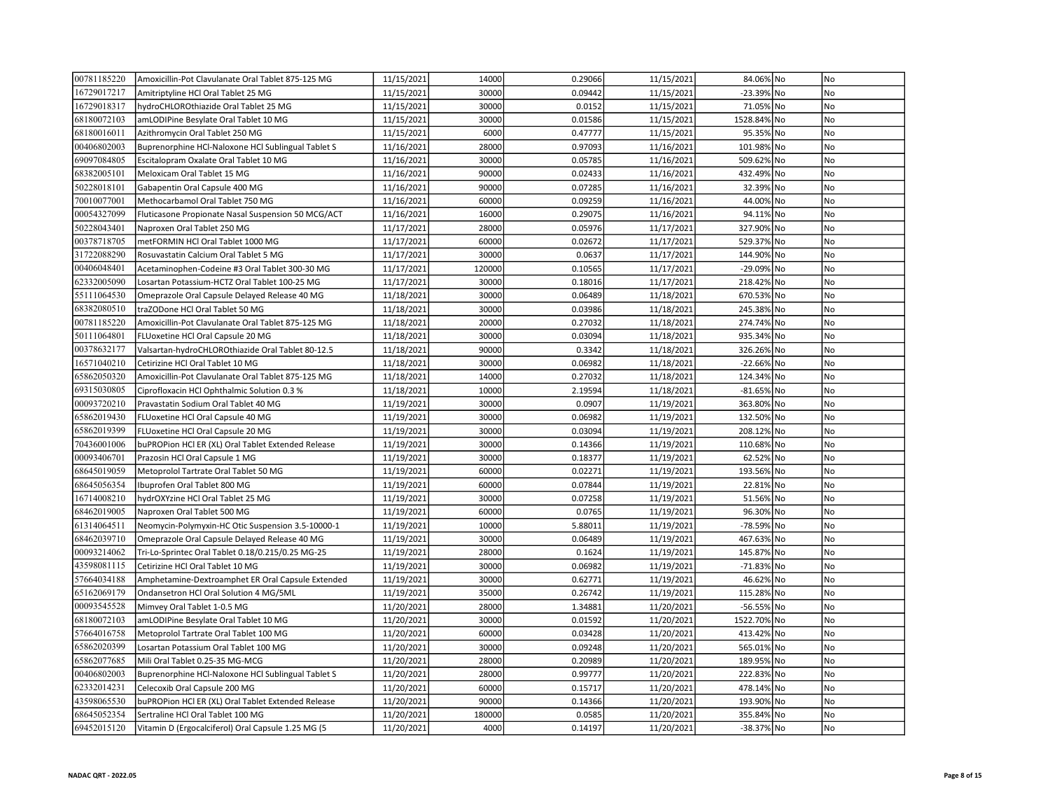| 00781185220 | Amoxicillin-Pot Clavulanate Oral Tablet 875-125 MG | 11/15/2021 | 14000  | 0.29066 | 11/15/2021 | 84.06% No   | No             |
|-------------|----------------------------------------------------|------------|--------|---------|------------|-------------|----------------|
| 16729017217 | Amitriptyline HCl Oral Tablet 25 MG                | 11/15/2021 | 30000  | 0.09442 | 11/15/2021 | -23.39% No  | No             |
| 16729018317 | hydroCHLOROthiazide Oral Tablet 25 MG              | 11/15/2021 | 30000  | 0.0152  | 11/15/2021 | 71.05% No   | No             |
| 68180072103 | amLODIPine Besylate Oral Tablet 10 MG              | 11/15/2021 | 30000  | 0.01586 | 11/15/2021 | 1528.84% No | <b>No</b>      |
| 68180016011 | Azithromycin Oral Tablet 250 MG                    | 11/15/2021 | 6000   | 0.47777 | 11/15/2021 | 95.35% No   | N <sub>o</sub> |
| 00406802003 | Buprenorphine HCl-Naloxone HCl Sublingual Tablet S | 11/16/2021 | 28000  | 0.97093 | 11/16/2021 | 101.98% No  | No             |
| 69097084805 | Escitalopram Oxalate Oral Tablet 10 MG             | 11/16/2021 | 30000  | 0.05785 | 11/16/2021 | 509.62% No  | No             |
| 68382005101 | Meloxicam Oral Tablet 15 MG                        | 11/16/2021 | 90000  | 0.02433 | 11/16/2021 | 432.49% No  | No             |
| 50228018101 | Gabapentin Oral Capsule 400 MG                     | 11/16/2021 | 90000  | 0.07285 | 11/16/2021 | 32.39% No   | No             |
| 70010077001 | Methocarbamol Oral Tablet 750 MG                   | 11/16/2021 | 60000  | 0.09259 | 11/16/2021 | 44.00% No   | No             |
| 00054327099 | Fluticasone Propionate Nasal Suspension 50 MCG/ACT | 11/16/2021 | 16000  | 0.29075 | 11/16/2021 | 94.11% No   | <b>No</b>      |
| 50228043401 | Naproxen Oral Tablet 250 MG                        | 11/17/2021 | 28000  | 0.05976 | 11/17/2021 | 327.90% No  | No             |
| 00378718705 | metFORMIN HCl Oral Tablet 1000 MG                  | 11/17/2021 | 60000  | 0.02672 | 11/17/2021 | 529.37% No  | No             |
| 31722088290 | Rosuvastatin Calcium Oral Tablet 5 MG              | 11/17/2021 | 30000  | 0.0637  | 11/17/2021 | 144.90% No  | No             |
| 00406048401 | Acetaminophen-Codeine #3 Oral Tablet 300-30 MG     | 11/17/2021 | 120000 | 0.10565 | 11/17/2021 | -29.09% No  | No             |
| 62332005090 | Losartan Potassium-HCTZ Oral Tablet 100-25 MG      | 11/17/2021 | 30000  | 0.18016 | 11/17/2021 | 218.42% No  | No             |
| 55111064530 | Omeprazole Oral Capsule Delayed Release 40 MG      | 11/18/2021 | 30000  | 0.06489 | 11/18/2021 | 670.53% No  | <b>No</b>      |
| 68382080510 | traZODone HCl Oral Tablet 50 MG                    | 11/18/2021 | 30000  | 0.03986 | 11/18/2021 | 245.38% No  | No             |
| 00781185220 | Amoxicillin-Pot Clavulanate Oral Tablet 875-125 MG | 11/18/2021 | 20000  | 0.27032 | 11/18/2021 | 274.74% No  | No             |
| 50111064801 | FLUoxetine HCl Oral Capsule 20 MG                  | 11/18/2021 | 30000  | 0.03094 | 11/18/2021 | 935.34% No  | No             |
| 00378632177 | Valsartan-hydroCHLOROthiazide Oral Tablet 80-12.5  | 11/18/2021 | 90000  | 0.3342  | 11/18/2021 | 326.26% No  | No             |
| 16571040210 | Cetirizine HCl Oral Tablet 10 MG                   | 11/18/2021 | 30000  | 0.06982 | 11/18/2021 | -22.66% No  | No             |
| 65862050320 | Amoxicillin-Pot Clavulanate Oral Tablet 875-125 MG | 11/18/2021 | 14000  | 0.27032 | 11/18/2021 | 124.34% No  | N <sub>o</sub> |
| 69315030805 | Ciprofloxacin HCl Ophthalmic Solution 0.3 %        | 11/18/2021 | 10000  | 2.19594 | 11/18/2021 | -81.65% No  | No             |
| 00093720210 | Pravastatin Sodium Oral Tablet 40 MG               | 11/19/2021 | 30000  | 0.0907  | 11/19/2021 | 363.80% No  | No             |
| 65862019430 | FLUoxetine HCl Oral Capsule 40 MG                  | 11/19/2021 | 30000  | 0.06982 | 11/19/2021 | 132.50% No  | N <sub>o</sub> |
| 65862019399 | FLUoxetine HCl Oral Capsule 20 MG                  | 11/19/2021 | 30000  | 0.03094 | 11/19/2021 | 208.12% No  | <b>No</b>      |
| 70436001006 | buPROPion HCl ER (XL) Oral Tablet Extended Release | 11/19/2021 | 30000  | 0.14366 | 11/19/2021 | 110.68% No  | No             |
| 00093406701 | Prazosin HCl Oral Capsule 1 MG                     | 11/19/2021 | 30000  | 0.18377 | 11/19/2021 | 62.52% No   | No             |
| 68645019059 | Metoprolol Tartrate Oral Tablet 50 MG              | 11/19/2021 | 60000  | 0.02271 | 11/19/2021 | 193.56% No  | No             |
| 68645056354 | Ibuprofen Oral Tablet 800 MG                       | 11/19/2021 | 60000  | 0.07844 | 11/19/2021 | 22.81% No   | No             |
| 16714008210 | hydrOXYzine HCl Oral Tablet 25 MG                  | 11/19/2021 | 30000  | 0.07258 | 11/19/2021 | 51.56% No   | No             |
| 68462019005 | Naproxen Oral Tablet 500 MG                        | 11/19/2021 | 60000  | 0.0765  | 11/19/2021 | 96.30% No   | No             |
| 61314064511 | Neomycin-Polymyxin-HC Otic Suspension 3.5-10000-1  | 11/19/2021 | 10000  | 5.88011 | 11/19/2021 | -78.59% No  | No             |
| 68462039710 | Omeprazole Oral Capsule Delayed Release 40 MG      | 11/19/2021 | 30000  | 0.06489 | 11/19/2021 | 467.63% No  | No             |
| 00093214062 | Tri-Lo-Sprintec Oral Tablet 0.18/0.215/0.25 MG-25  | 11/19/2021 | 28000  | 0.1624  | 11/19/2021 | 145.87% No  | No             |
| 43598081115 | Cetirizine HCl Oral Tablet 10 MG                   | 11/19/2021 | 30000  | 0.06982 | 11/19/2021 | -71.83% No  | <b>No</b>      |
| 57664034188 | Amphetamine-Dextroamphet ER Oral Capsule Extended  | 11/19/2021 | 30000  | 0.62771 | 11/19/2021 | 46.62% No   | <b>No</b>      |
| 65162069179 | Ondansetron HCl Oral Solution 4 MG/5ML             | 11/19/2021 | 35000  | 0.26742 | 11/19/2021 | 115.28% No  | No             |
| 00093545528 | Mimvey Oral Tablet 1-0.5 MG                        | 11/20/2021 | 28000  | 1.34881 | 11/20/2021 | -56.55% No  | No             |
| 68180072103 | amLODIPine Besylate Oral Tablet 10 MG              | 11/20/2021 | 30000  | 0.01592 | 11/20/2021 | 1522.70% No | No             |
| 57664016758 | Metoprolol Tartrate Oral Tablet 100 MG             | 11/20/2021 | 60000  | 0.03428 | 11/20/2021 | 413.42% No  | No             |
| 65862020399 | Losartan Potassium Oral Tablet 100 MG              | 11/20/2021 | 30000  | 0.09248 | 11/20/2021 | 565.01% No  | No             |
| 65862077685 | Mili Oral Tablet 0.25-35 MG-MCG                    | 11/20/2021 | 28000  | 0.20989 | 11/20/2021 | 189.95% No  | No             |
| 00406802003 | Buprenorphine HCl-Naloxone HCl Sublingual Tablet S | 11/20/2021 | 28000  | 0.99777 | 11/20/2021 | 222.83% No  | No             |
| 62332014231 | Celecoxib Oral Capsule 200 MG                      | 11/20/2021 | 60000  | 0.15717 | 11/20/2021 | 478.14% No  | No             |
| 43598065530 | buPROPion HCl ER (XL) Oral Tablet Extended Release | 11/20/2021 | 90000  | 0.14366 | 11/20/2021 | 193.90% No  | No             |
| 68645052354 | Sertraline HCl Oral Tablet 100 MG                  | 11/20/2021 | 180000 | 0.0585  | 11/20/2021 | 355.84% No  | No             |
| 69452015120 | Vitamin D (Ergocalciferol) Oral Capsule 1.25 MG (5 | 11/20/2021 | 4000   | 0.14197 | 11/20/2021 | -38.37% No  | No             |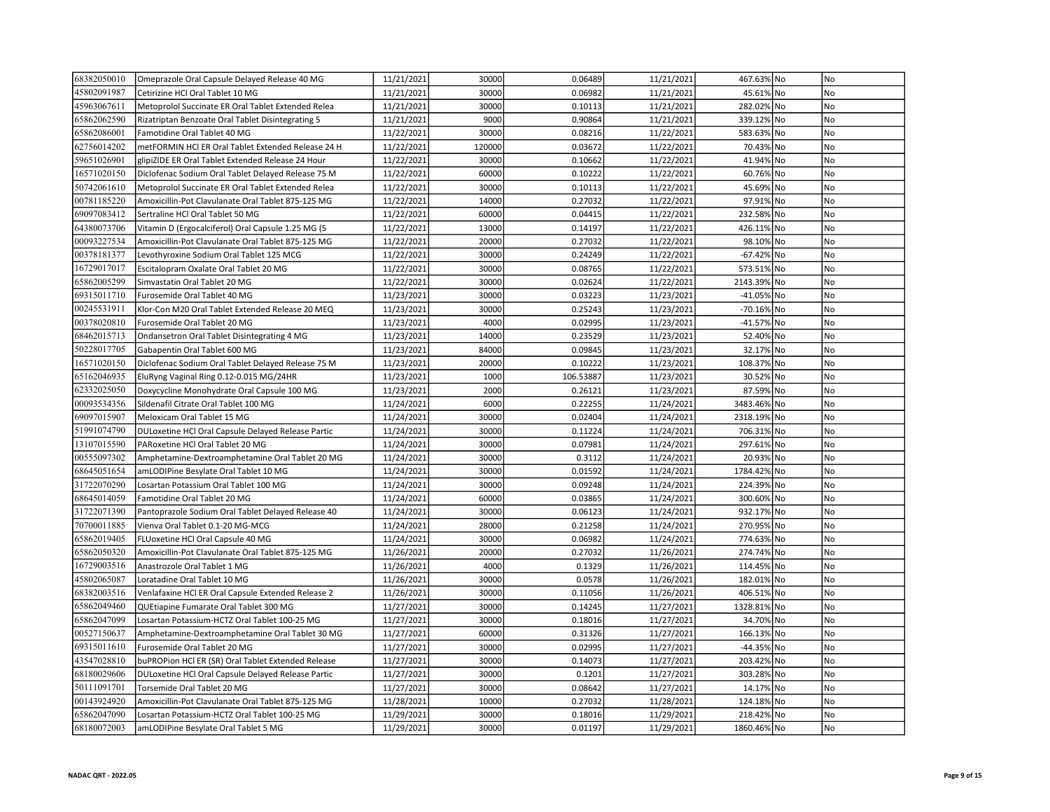| 68382050010 | Omeprazole Oral Capsule Delayed Release 40 MG      | 11/21/2021 | 30000  | 0.06489   | 11/21/2021 | 467.63% No  | No             |
|-------------|----------------------------------------------------|------------|--------|-----------|------------|-------------|----------------|
| 45802091987 | Cetirizine HCl Oral Tablet 10 MG                   | 11/21/2021 | 30000  | 0.06982   | 11/21/2021 | 45.61% No   | No             |
| 45963067611 | Metoprolol Succinate ER Oral Tablet Extended Relea | 11/21/2021 | 30000  | 0.10113   | 11/21/2021 | 282.02% No  | No             |
| 65862062590 | Rizatriptan Benzoate Oral Tablet Disintegrating 5  | 11/21/2021 | 9000   | 0.90864   | 11/21/2021 | 339.12% No  | No             |
| 65862086001 | Famotidine Oral Tablet 40 MG                       | 11/22/2021 | 30000  | 0.08216   | 11/22/2021 | 583.63% No  | N <sub>o</sub> |
| 62756014202 | metFORMIN HCI ER Oral Tablet Extended Release 24 H | 11/22/2021 | 120000 | 0.03672   | 11/22/2021 | 70.43% No   | No             |
| 59651026901 | glipiZIDE ER Oral Tablet Extended Release 24 Hour  | 11/22/2021 | 30000  | 0.10662   | 11/22/2021 | 41.94% No   | No             |
| 16571020150 | Diclofenac Sodium Oral Tablet Delayed Release 75 M | 11/22/2021 | 60000  | 0.10222   | 11/22/2021 | 60.76% No   | No             |
| 50742061610 | Metoprolol Succinate ER Oral Tablet Extended Relea | 11/22/2021 | 30000  | 0.10113   | 11/22/2021 | 45.69% No   | No             |
| 00781185220 | Amoxicillin-Pot Clavulanate Oral Tablet 875-125 MG | 11/22/2021 | 14000  | 0.27032   | 11/22/2021 | 97.91% No   | N <sub>o</sub> |
| 69097083412 | Sertraline HCl Oral Tablet 50 MG                   | 11/22/2021 | 60000  | 0.04415   | 11/22/2021 | 232.58% No  | No             |
| 64380073706 | Vitamin D (Ergocalciferol) Oral Capsule 1.25 MG (5 | 11/22/2021 | 13000  | 0.14197   | 11/22/2021 | 426.11% No  | No             |
| 00093227534 | Amoxicillin-Pot Clavulanate Oral Tablet 875-125 MG | 11/22/2021 | 20000  | 0.27032   | 11/22/2021 | 98.10% No   | No             |
| 00378181377 | Levothyroxine Sodium Oral Tablet 125 MCG           | 11/22/2021 | 30000  | 0.24249   | 11/22/2021 | -67.42% No  | No             |
| 16729017017 | Escitalopram Oxalate Oral Tablet 20 MG             | 11/22/2021 | 30000  | 0.08765   | 11/22/2021 | 573.51% No  | No             |
| 65862005299 | Simvastatin Oral Tablet 20 MG                      | 11/22/2021 | 30000  | 0.02624   | 11/22/2021 | 2143.39% No | N <sub>o</sub> |
| 69315011710 | Furosemide Oral Tablet 40 MG                       | 11/23/2021 | 30000  | 0.03223   | 11/23/2021 | -41.05% No  | No             |
| 00245531911 | Klor-Con M20 Oral Tablet Extended Release 20 MEQ   | 11/23/2021 | 30000  | 0.25243   | 11/23/2021 | -70.16% No  | No             |
| 00378020810 | Furosemide Oral Tablet 20 MG                       | 11/23/2021 | 4000   | 0.02995   | 11/23/2021 | -41.57% No  | No             |
| 68462015713 | Ondansetron Oral Tablet Disintegrating 4 MG        | 11/23/2021 | 14000  | 0.23529   | 11/23/2021 | 52.40% No   | No             |
| 50228017705 | Gabapentin Oral Tablet 600 MG                      | 11/23/2021 | 84000  | 0.09845   | 11/23/2021 | 32.17% No   | N <sub>o</sub> |
| 16571020150 | Diclofenac Sodium Oral Tablet Delayed Release 75 M | 11/23/2021 | 20000  | 0.10222   | 11/23/2021 | 108.37% No  | <b>No</b>      |
| 65162046935 | EluRyng Vaginal Ring 0.12-0.015 MG/24HR            | 11/23/2021 | 1000   | 106.53887 | 11/23/2021 | 30.52% No   | No             |
| 62332025050 | Doxycycline Monohydrate Oral Capsule 100 MG        | 11/23/2021 | 2000   | 0.26121   | 11/23/2021 | 87.59% No   | No             |
| 00093534356 | Sildenafil Citrate Oral Tablet 100 MG              | 11/24/2021 | 6000   | 0.22255   | 11/24/2021 | 3483.46% No | No             |
| 69097015907 | Meloxicam Oral Tablet 15 MG                        | 11/24/2021 | 30000  | 0.02404   | 11/24/2021 | 2318.19% No | No             |
| 51991074790 | DULoxetine HCl Oral Capsule Delayed Release Partic | 11/24/2021 | 30000  | 0.11224   | 11/24/2021 | 706.31% No  | <b>No</b>      |
| 13107015590 | PARoxetine HCl Oral Tablet 20 MG                   | 11/24/2021 | 30000  | 0.07981   | 11/24/2021 | 297.61% No  | No             |
| 00555097302 | Amphetamine-Dextroamphetamine Oral Tablet 20 MG    | 11/24/2021 | 30000  | 0.3112    | 11/24/2021 | 20.93% No   | No             |
| 68645051654 | amLODIPine Besylate Oral Tablet 10 MG              | 11/24/2021 | 30000  | 0.01592   | 11/24/2021 | 1784.42% No | No             |
| 31722070290 | Losartan Potassium Oral Tablet 100 MG              | 11/24/2021 | 30000  | 0.09248   | 11/24/2021 | 224.39% No  | No             |
| 68645014059 | Famotidine Oral Tablet 20 MG                       | 11/24/2021 | 60000  | 0.03865   | 11/24/2021 | 300.60% No  | No             |
| 31722071390 | Pantoprazole Sodium Oral Tablet Delayed Release 40 | 11/24/2021 | 30000  | 0.06123   | 11/24/2021 | 932.17% No  | No             |
| 70700011885 | Vienva Oral Tablet 0.1-20 MG-MCG                   | 11/24/2021 | 28000  | 0.21258   | 11/24/2021 | 270.95% No  | No             |
| 65862019405 | FLUoxetine HCl Oral Capsule 40 MG                  | 11/24/2021 | 30000  | 0.06982   | 11/24/2021 | 774.63% No  | No             |
| 65862050320 | Amoxicillin-Pot Clavulanate Oral Tablet 875-125 MG | 11/26/2021 | 20000  | 0.27032   | 11/26/2021 | 274.74% No  | No             |
| 16729003516 | Anastrozole Oral Tablet 1 MG                       | 11/26/2021 | 4000   | 0.1329    | 11/26/2021 | 114.45% No  | No             |
| 45802065087 | Loratadine Oral Tablet 10 MG                       | 11/26/2021 | 30000  | 0.0578    | 11/26/2021 | 182.01% No  | No             |
| 68382003516 | Venlafaxine HCl ER Oral Capsule Extended Release 2 | 11/26/2021 | 30000  | 0.11056   | 11/26/2021 | 406.51% No  | No             |
| 65862049460 | QUEtiapine Fumarate Oral Tablet 300 MG             | 11/27/2021 | 30000  | 0.14245   | 11/27/2021 | 1328.81% No | No             |
| 65862047099 | Losartan Potassium-HCTZ Oral Tablet 100-25 MG      | 11/27/2021 | 30000  | 0.18016   | 11/27/2021 | 34.70% No   | No             |
| 00527150637 | Amphetamine-Dextroamphetamine Oral Tablet 30 MG    | 11/27/2021 | 60000  | 0.31326   | 11/27/2021 | 166.13% No  | No             |
| 69315011610 | Furosemide Oral Tablet 20 MG                       | 11/27/2021 | 30000  | 0.02995   | 11/27/2021 | -44.35% No  | No             |
| 43547028810 | buPROPion HCI ER (SR) Oral Tablet Extended Release | 11/27/2021 | 30000  | 0.14073   | 11/27/2021 | 203.42% No  | No             |
| 68180029606 | DULoxetine HCl Oral Capsule Delayed Release Partic | 11/27/2021 | 30000  | 0.1201    | 11/27/2021 | 303.28% No  | No             |
| 50111091701 | Torsemide Oral Tablet 20 MG                        | 11/27/2021 | 30000  | 0.08642   | 11/27/2021 | 14.17% No   | No.            |
| 00143924920 | Amoxicillin-Pot Clavulanate Oral Tablet 875-125 MG | 11/28/2021 | 10000  | 0.27032   | 11/28/2021 | 124.18% No  | N <sub>o</sub> |
| 65862047090 | Losartan Potassium-HCTZ Oral Tablet 100-25 MG      | 11/29/2021 | 30000  | 0.18016   | 11/29/2021 | 218.42% No  | No             |
| 68180072003 | amLODIPine Besylate Oral Tablet 5 MG               | 11/29/2021 | 30000  | 0.01197   | 11/29/2021 | 1860.46% No | No             |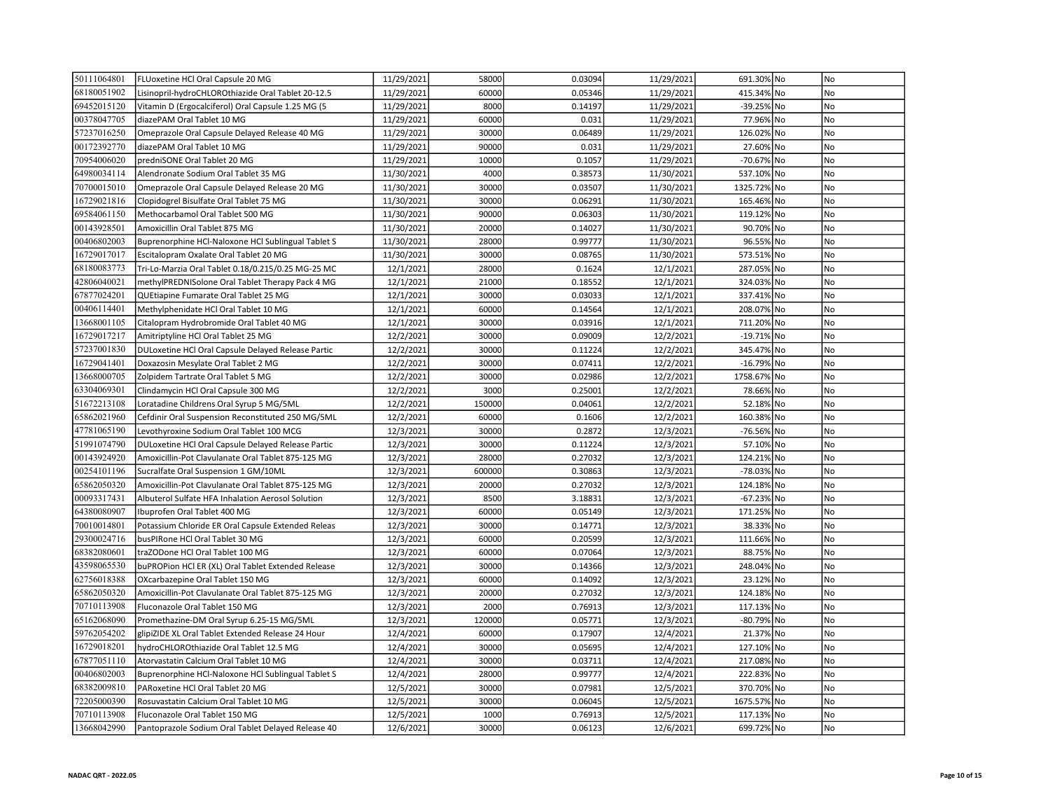| 50111064801 | FLUoxetine HCl Oral Capsule 20 MG                  | 11/29/2021 | 58000  | 0.03094 | 11/29/2021 | 691.30% No  | No             |
|-------------|----------------------------------------------------|------------|--------|---------|------------|-------------|----------------|
| 68180051902 | Lisinopril-hydroCHLOROthiazide Oral Tablet 20-12.5 | 11/29/2021 | 60000  | 0.05346 | 11/29/2021 | 415.34% No  | No             |
| 69452015120 | Vitamin D (Ergocalciferol) Oral Capsule 1.25 MG (5 | 11/29/2021 | 8000   | 0.14197 | 11/29/2021 | -39.25% No  | No             |
| 00378047705 | diazePAM Oral Tablet 10 MG                         | 11/29/2021 | 60000  | 0.031   | 11/29/2021 | 77.96% No   | N <sub>o</sub> |
| 57237016250 | Omeprazole Oral Capsule Delayed Release 40 MG      | 11/29/2021 | 30000  | 0.06489 | 11/29/2021 | 126.02% No  | <b>No</b>      |
| 00172392770 | diazePAM Oral Tablet 10 MG                         | 11/29/2021 | 90000  | 0.031   | 11/29/2021 | 27.60% No   | No             |
| 70954006020 | predniSONE Oral Tablet 20 MG                       | 11/29/2021 | 10000  | 0.1057  | 11/29/2021 | -70.67% No  | No             |
| 64980034114 | Alendronate Sodium Oral Tablet 35 MG               | 11/30/2021 | 4000   | 0.38573 | 11/30/2021 | 537.10% No  | No             |
| 70700015010 | Omeprazole Oral Capsule Delayed Release 20 MG      | 11/30/2021 | 30000  | 0.03507 | 11/30/2021 | 1325.72% No | No             |
| 16729021816 | Clopidogrel Bisulfate Oral Tablet 75 MG            | 11/30/2021 | 30000  | 0.06291 | 11/30/2021 | 165.46% No  | No             |
| 69584061150 | Methocarbamol Oral Tablet 500 MG                   | 11/30/2021 | 90000  | 0.06303 | 11/30/2021 | 119.12% No  | No             |
| 00143928501 | Amoxicillin Oral Tablet 875 MG                     | 11/30/2021 | 20000  | 0.14027 | 11/30/2021 | 90.70% No   | No             |
| 00406802003 | Buprenorphine HCI-Naloxone HCI Sublingual Tablet S | 11/30/2021 | 28000  | 0.99777 | 11/30/2021 | 96.55% No   | No             |
| 16729017017 | Escitalopram Oxalate Oral Tablet 20 MG             | 11/30/2021 | 30000  | 0.08765 | 11/30/2021 | 573.51% No  | No             |
| 68180083773 | Tri-Lo-Marzia Oral Tablet 0.18/0.215/0.25 MG-25 MC | 12/1/2021  | 28000  | 0.1624  | 12/1/2021  | 287.05% No  | No             |
| 42806040021 | methylPREDNISolone Oral Tablet Therapy Pack 4 MG   | 12/1/2021  | 21000  | 0.18552 | 12/1/2021  | 324.03% No  | No             |
| 67877024201 | QUEtiapine Fumarate Oral Tablet 25 MG              | 12/1/2021  | 30000  | 0.03033 | 12/1/2021  | 337.41% No  | <b>No</b>      |
| 00406114401 | Methylphenidate HCl Oral Tablet 10 MG              | 12/1/2021  | 60000  | 0.14564 | 12/1/2021  | 208.07% No  | No             |
| 13668001105 | Citalopram Hydrobromide Oral Tablet 40 MG          | 12/1/2021  | 30000  | 0.03916 | 12/1/2021  | 711.20% No  | No             |
| 16729017217 | Amitriptyline HCl Oral Tablet 25 MG                | 12/2/2021  | 30000  | 0.09009 | 12/2/2021  | -19.71% No  | No             |
| 57237001830 | DULoxetine HCl Oral Capsule Delayed Release Partic | 12/2/2021  | 30000  | 0.11224 | 12/2/2021  | 345.47% No  | No             |
| 16729041401 | Doxazosin Mesylate Oral Tablet 2 MG                | 12/2/2021  | 30000  | 0.07411 | 12/2/2021  | -16.79% No  | No             |
| 13668000705 | Zolpidem Tartrate Oral Tablet 5 MG                 | 12/2/2021  | 30000  | 0.02986 | 12/2/2021  | 1758.67% No | N <sub>o</sub> |
| 63304069301 | Clindamycin HCl Oral Capsule 300 MG                | 12/2/2021  | 3000   | 0.25001 | 12/2/2021  | 78.66% No   | No             |
| 51672213108 | Loratadine Childrens Oral Syrup 5 MG/5ML           | 12/2/2021  | 150000 | 0.04061 | 12/2/2021  | 52.18% No   | No             |
| 65862021960 | Cefdinir Oral Suspension Reconstituted 250 MG/5ML  | 12/2/2021  | 60000  | 0.1606  | 12/2/2021  | 160.38% No  | N <sub>o</sub> |
| 47781065190 | Levothyroxine Sodium Oral Tablet 100 MCG           | 12/3/2021  | 30000  | 0.2872  | 12/3/2021  | -76.56% No  | <b>No</b>      |
| 51991074790 | DULoxetine HCl Oral Capsule Delayed Release Partic | 12/3/2021  | 30000  | 0.11224 | 12/3/2021  | 57.10% No   | No             |
| 00143924920 | Amoxicillin-Pot Clavulanate Oral Tablet 875-125 MG | 12/3/2021  | 28000  | 0.27032 | 12/3/2021  | 124.21% No  | No             |
| 00254101196 | Sucralfate Oral Suspension 1 GM/10ML               | 12/3/2021  | 600000 | 0.30863 | 12/3/2021  | -78.03% No  | No             |
| 65862050320 | Amoxicillin-Pot Clavulanate Oral Tablet 875-125 MG | 12/3/2021  | 20000  | 0.27032 | 12/3/2021  | 124.18% No  | No             |
| 00093317431 | Albuterol Sulfate HFA Inhalation Aerosol Solution  | 12/3/2021  | 8500   | 3.18831 | 12/3/2021  | -67.23% No  | No             |
| 64380080907 | Ibuprofen Oral Tablet 400 MG                       | 12/3/2021  | 60000  | 0.05149 | 12/3/2021  | 171.25% No  | No             |
| 70010014801 | Potassium Chloride ER Oral Capsule Extended Releas | 12/3/2021  | 30000  | 0.14771 | 12/3/2021  | 38.33% No   | No             |
| 29300024716 | busPIRone HCl Oral Tablet 30 MG                    | 12/3/2021  | 60000  | 0.20599 | 12/3/2021  | 111.66% No  | No             |
| 68382080601 | traZODone HCl Oral Tablet 100 MG                   | 12/3/2021  | 60000  | 0.07064 | 12/3/2021  | 88.75% No   | No             |
| 43598065530 | buPROPion HCl ER (XL) Oral Tablet Extended Release | 12/3/2021  | 30000  | 0.14366 | 12/3/2021  | 248.04% No  | <b>No</b>      |
| 62756018388 | OXcarbazepine Oral Tablet 150 MG                   | 12/3/2021  | 60000  | 0.14092 | 12/3/2021  | 23.12% No   | No             |
| 65862050320 | Amoxicillin-Pot Clavulanate Oral Tablet 875-125 MG | 12/3/2021  | 20000  | 0.27032 | 12/3/2021  | 124.18% No  | No             |
| 70710113908 | Fluconazole Oral Tablet 150 MG                     | 12/3/2021  | 2000   | 0.76913 | 12/3/2021  | 117.13% No  | No             |
| 65162068090 | Promethazine-DM Oral Syrup 6.25-15 MG/5ML          | 12/3/2021  | 120000 | 0.05771 | 12/3/2021  | -80.79% No  | No             |
| 59762054202 | glipiZIDE XL Oral Tablet Extended Release 24 Hour  | 12/4/2021  | 60000  | 0.17907 | 12/4/2021  | 21.37% No   | No             |
| 16729018201 | hydroCHLOROthiazide Oral Tablet 12.5 MG            | 12/4/2021  | 30000  | 0.05695 | 12/4/2021  | 127.10% No  | No             |
| 67877051110 | Atorvastatin Calcium Oral Tablet 10 MG             | 12/4/2021  | 30000  | 0.03711 | 12/4/2021  | 217.08% No  | No             |
| 00406802003 | Buprenorphine HCl-Naloxone HCl Sublingual Tablet S | 12/4/2021  | 28000  | 0.99777 | 12/4/2021  | 222.83% No  | No             |
| 68382009810 | PARoxetine HCl Oral Tablet 20 MG                   | 12/5/2021  | 30000  | 0.07981 | 12/5/2021  | 370.70% No  | No             |
| 72205000390 | Rosuvastatin Calcium Oral Tablet 10 MG             | 12/5/2021  | 30000  | 0.06045 | 12/5/2021  | 1675.57% No | No             |
| 70710113908 | Fluconazole Oral Tablet 150 MG                     | 12/5/2021  | 1000   | 0.76913 | 12/5/2021  | 117.13% No  | No             |
| 13668042990 | Pantoprazole Sodium Oral Tablet Delayed Release 40 | 12/6/2021  | 30000  | 0.06123 | 12/6/2021  | 699.72% No  | <b>No</b>      |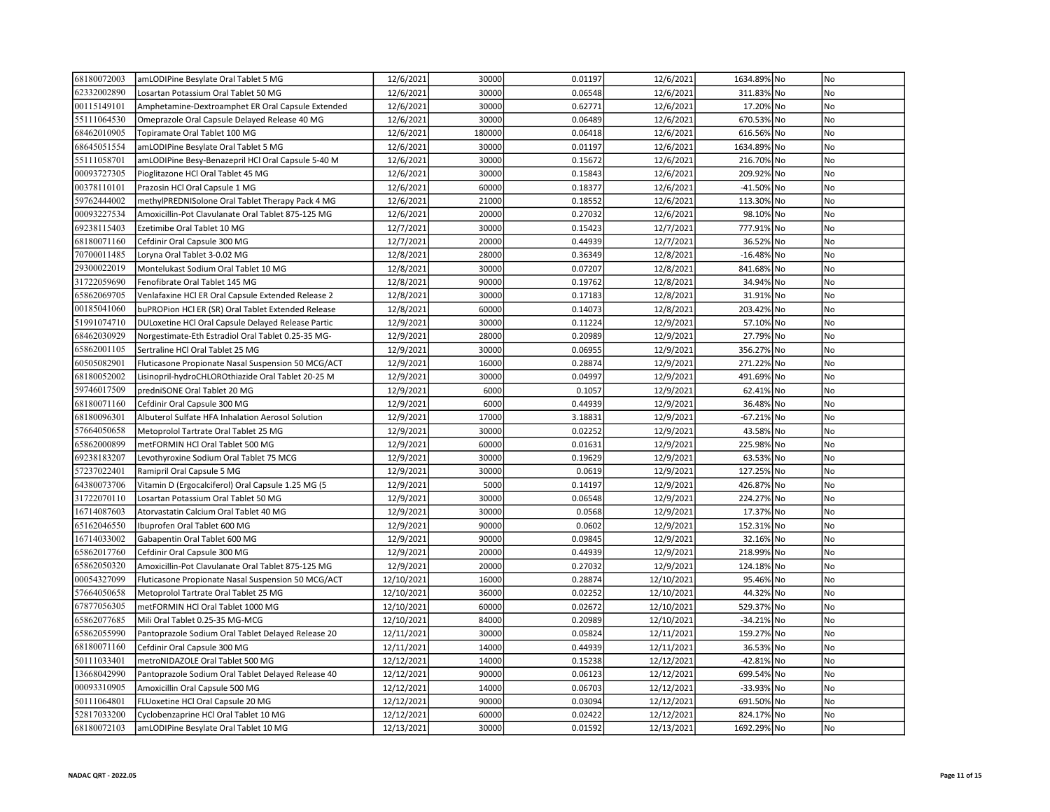| 68180072003 | amLODIPine Besylate Oral Tablet 5 MG               | 12/6/2021  | 30000  | 0.01197 | 12/6/2021  | 1634.89% No | No             |
|-------------|----------------------------------------------------|------------|--------|---------|------------|-------------|----------------|
| 62332002890 | Losartan Potassium Oral Tablet 50 MG               | 12/6/2021  | 30000  | 0.06548 | 12/6/2021  | 311.83% No  | No             |
| 00115149101 | Amphetamine-Dextroamphet ER Oral Capsule Extended  | 12/6/2021  | 30000  | 0.62771 | 12/6/2021  | 17.20% No   | No             |
| 55111064530 | Omeprazole Oral Capsule Delayed Release 40 MG      | 12/6/2021  | 30000  | 0.06489 | 12/6/2021  | 670.53% No  | <b>No</b>      |
| 68462010905 | Topiramate Oral Tablet 100 MG                      | 12/6/2021  | 180000 | 0.06418 | 12/6/2021  | 616.56% No  | N <sub>o</sub> |
| 68645051554 | amLODIPine Besylate Oral Tablet 5 MG               | 12/6/2021  | 30000  | 0.01197 | 12/6/2021  | 1634.89% No | No             |
| 55111058701 | amLODIPine Besy-Benazepril HCl Oral Capsule 5-40 M | 12/6/2021  | 30000  | 0.15672 | 12/6/2021  | 216.70% No  | No             |
| 00093727305 | Pioglitazone HCl Oral Tablet 45 MG                 | 12/6/2021  | 30000  | 0.15843 | 12/6/2021  | 209.92% No  | No             |
| 00378110101 | Prazosin HCl Oral Capsule 1 MG                     | 12/6/2021  | 60000  | 0.18377 | 12/6/2021  | -41.50% No  | No             |
| 59762444002 | methylPREDNISolone Oral Tablet Therapy Pack 4 MG   | 12/6/2021  | 21000  | 0.18552 | 12/6/2021  | 113.30% No  | No             |
| 00093227534 | Amoxicillin-Pot Clavulanate Oral Tablet 875-125 MG | 12/6/2021  | 20000  | 0.27032 | 12/6/2021  | 98.10% No   | No             |
| 69238115403 | Ezetimibe Oral Tablet 10 MG                        | 12/7/2021  | 30000  | 0.15423 | 12/7/2021  | 777.91% No  | No             |
| 68180071160 | Cefdinir Oral Capsule 300 MG                       | 12/7/2021  | 20000  | 0.44939 | 12/7/2021  | 36.52% No   | No             |
| 70700011485 | Loryna Oral Tablet 3-0.02 MG                       | 12/8/2021  | 28000  | 0.36349 | 12/8/2021  | -16.48% No  | No             |
| 29300022019 | Montelukast Sodium Oral Tablet 10 MG               | 12/8/2021  | 30000  | 0.07207 | 12/8/2021  | 841.68% No  | No             |
| 31722059690 | Fenofibrate Oral Tablet 145 MG                     | 12/8/2021  | 90000  | 0.19762 | 12/8/2021  | 34.94% No   | No             |
| 65862069705 | Venlafaxine HCl ER Oral Capsule Extended Release 2 | 12/8/2021  | 30000  | 0.17183 | 12/8/2021  | 31.91% No   | <b>No</b>      |
| 00185041060 | buPROPion HCl ER (SR) Oral Tablet Extended Release | 12/8/2021  | 60000  | 0.14073 | 12/8/2021  | 203.42% No  | No             |
| 51991074710 | DULoxetine HCl Oral Capsule Delayed Release Partic | 12/9/2021  | 30000  | 0.11224 | 12/9/2021  | 57.10% No   | No             |
| 68462030929 | Norgestimate-Eth Estradiol Oral Tablet 0.25-35 MG- | 12/9/2021  | 28000  | 0.20989 | 12/9/2021  | 27.79% No   | No             |
| 65862001105 | Sertraline HCl Oral Tablet 25 MG                   | 12/9/2021  | 30000  | 0.06955 | 12/9/2021  | 356.27% No  | No             |
| 60505082901 | Fluticasone Propionate Nasal Suspension 50 MCG/ACT | 12/9/2021  | 16000  | 0.28874 | 12/9/2021  | 271.22% No  | No             |
| 68180052002 | Lisinopril-hydroCHLOROthiazide Oral Tablet 20-25 M | 12/9/2021  | 30000  | 0.04997 | 12/9/2021  | 491.69% No  | N <sub>o</sub> |
| 59746017509 | predniSONE Oral Tablet 20 MG                       | 12/9/2021  | 6000   | 0.1057  | 12/9/2021  | 62.41% No   | No             |
| 68180071160 | Cefdinir Oral Capsule 300 MG                       | 12/9/2021  | 6000   | 0.44939 | 12/9/2021  | 36.48% No   | No             |
| 68180096301 | Albuterol Sulfate HFA Inhalation Aerosol Solution  | 12/9/2021  | 17000  | 3.18831 | 12/9/2021  | -67.21% No  | <b>No</b>      |
| 57664050658 | Metoprolol Tartrate Oral Tablet 25 MG              | 12/9/2021  | 30000  | 0.02252 | 12/9/2021  | 43.58% No   | <b>No</b>      |
| 65862000899 | metFORMIN HCl Oral Tablet 500 MG                   | 12/9/2021  | 60000  | 0.01631 | 12/9/2021  | 225.98% No  | No             |
| 69238183207 | Levothyroxine Sodium Oral Tablet 75 MCG            | 12/9/2021  | 30000  | 0.19629 | 12/9/2021  | 63.53% No   | No             |
| 57237022401 | Ramipril Oral Capsule 5 MG                         | 12/9/2021  | 30000  | 0.0619  | 12/9/2021  | 127.25% No  | No             |
| 64380073706 | Vitamin D (Ergocalciferol) Oral Capsule 1.25 MG (5 | 12/9/2021  | 5000   | 0.14197 | 12/9/2021  | 426.87% No  | No             |
| 31722070110 | Losartan Potassium Oral Tablet 50 MG               | 12/9/2021  | 30000  | 0.06548 | 12/9/2021  | 224.27% No  | No             |
| 16714087603 | Atorvastatin Calcium Oral Tablet 40 MG             | 12/9/2021  | 30000  | 0.0568  | 12/9/2021  | 17.37% No   | No             |
| 65162046550 | Ibuprofen Oral Tablet 600 MG                       | 12/9/2021  | 90000  | 0.0602  | 12/9/2021  | 152.31% No  | No             |
| 16714033002 | Gabapentin Oral Tablet 600 MG                      | 12/9/2021  | 90000  | 0.09845 | 12/9/2021  | 32.16% No   | No             |
| 65862017760 | Cefdinir Oral Capsule 300 MG                       | 12/9/2021  | 20000  | 0.44939 | 12/9/2021  | 218.99% No  | No             |
| 65862050320 | Amoxicillin-Pot Clavulanate Oral Tablet 875-125 MG | 12/9/2021  | 20000  | 0.27032 | 12/9/2021  | 124.18% No  | No             |
| 00054327099 | Fluticasone Propionate Nasal Suspension 50 MCG/ACT | 12/10/2021 | 16000  | 0.28874 | 12/10/2021 | 95.46% No   | No             |
| 57664050658 | Metoprolol Tartrate Oral Tablet 25 MG              | 12/10/2021 | 36000  | 0.02252 | 12/10/2021 | 44.32% No   | No             |
| 67877056305 | metFORMIN HCl Oral Tablet 1000 MG                  | 12/10/2021 | 60000  | 0.02672 | 12/10/2021 | 529.37% No  | No             |
| 65862077685 | Mili Oral Tablet 0.25-35 MG-MCG                    | 12/10/2021 | 84000  | 0.20989 | 12/10/2021 | -34.21% No  | No             |
| 65862055990 | Pantoprazole Sodium Oral Tablet Delayed Release 20 | 12/11/2021 | 30000  | 0.05824 | 12/11/2021 | 159.27% No  | No             |
| 68180071160 | Cefdinir Oral Capsule 300 MG                       | 12/11/2021 | 14000  | 0.44939 | 12/11/2021 | 36.53% No   | No             |
| 50111033401 | metroNIDAZOLE Oral Tablet 500 MG                   | 12/12/2021 | 14000  | 0.15238 | 12/12/2021 | -42.81% No  | No             |
| 13668042990 | Pantoprazole Sodium Oral Tablet Delayed Release 40 | 12/12/2021 | 90000  | 0.06123 | 12/12/2021 | 699.54% No  | No             |
| 00093310905 | Amoxicillin Oral Capsule 500 MG                    | 12/12/2021 | 14000  | 0.06703 | 12/12/2021 | -33.93% No  | No             |
| 50111064801 | FLUoxetine HCl Oral Capsule 20 MG                  | 12/12/2021 | 90000  | 0.03094 | 12/12/2021 | 691.50% No  | No             |
| 52817033200 | Cyclobenzaprine HCl Oral Tablet 10 MG              | 12/12/2021 | 60000  | 0.02422 | 12/12/2021 | 824.17% No  | No             |
| 68180072103 | amLODIPine Besylate Oral Tablet 10 MG              | 12/13/2021 | 30000  | 0.01592 | 12/13/2021 | 1692.29% No | No             |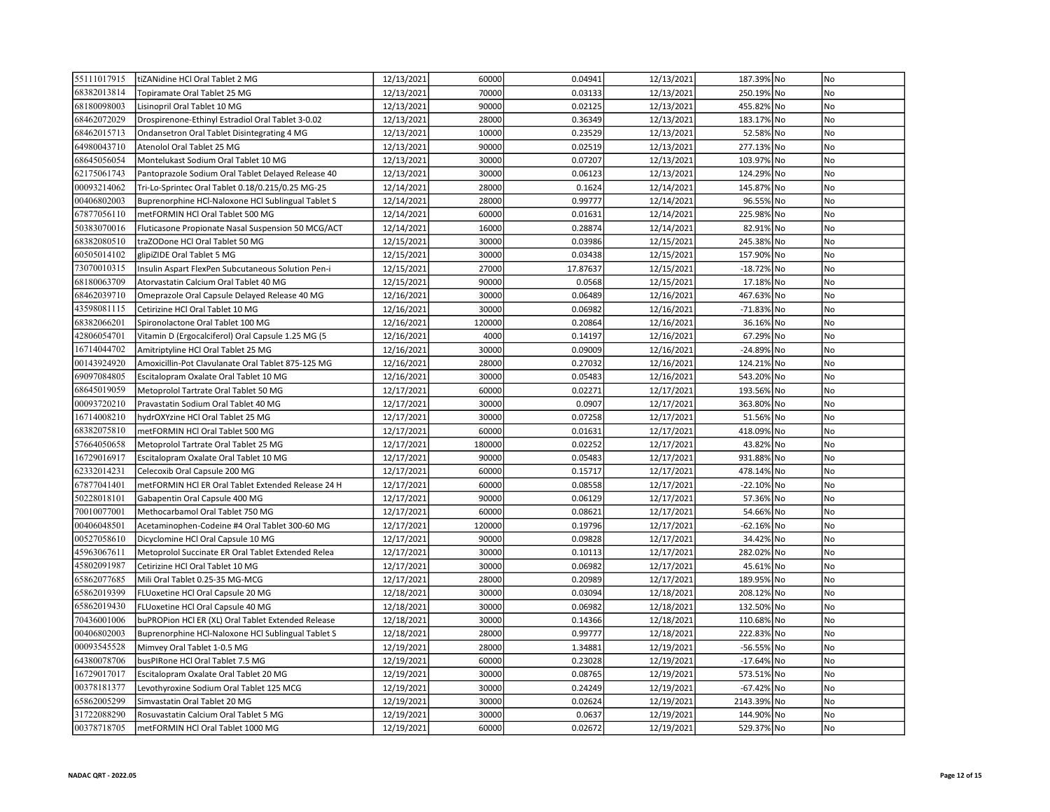| 55111017915 | tiZANidine HCl Oral Tablet 2 MG                    | 12/13/2021 | 60000  | 0.04941  | 12/13/2021 | 187.39% No  | No             |
|-------------|----------------------------------------------------|------------|--------|----------|------------|-------------|----------------|
| 68382013814 | Topiramate Oral Tablet 25 MG                       | 12/13/2021 | 70000  | 0.03133  | 12/13/2021 | 250.19% No  | No             |
| 68180098003 | Lisinopril Oral Tablet 10 MG                       | 12/13/2021 | 90000  | 0.02125  | 12/13/2021 | 455.82% No  | No             |
| 68462072029 | Drospirenone-Ethinyl Estradiol Oral Tablet 3-0.02  | 12/13/2021 | 28000  | 0.36349  | 12/13/2021 | 183.17% No  | No             |
| 68462015713 | Ondansetron Oral Tablet Disintegrating 4 MG        | 12/13/2021 | 10000  | 0.23529  | 12/13/2021 | 52.58% No   | <b>No</b>      |
| 64980043710 | Atenolol Oral Tablet 25 MG                         | 12/13/2021 | 90000  | 0.02519  | 12/13/2021 | 277.13% No  | No             |
| 68645056054 | Montelukast Sodium Oral Tablet 10 MG               | 12/13/2021 | 30000  | 0.07207  | 12/13/2021 | 103.97% No  | No             |
| 62175061743 | Pantoprazole Sodium Oral Tablet Delayed Release 40 | 12/13/2021 | 30000  | 0.06123  | 12/13/2021 | 124.29% No  | No             |
| 00093214062 | Tri-Lo-Sprintec Oral Tablet 0.18/0.215/0.25 MG-25  | 12/14/2021 | 28000  | 0.1624   | 12/14/2021 | 145.87% No  | No             |
| 00406802003 | Buprenorphine HCI-Naloxone HCI Sublingual Tablet S | 12/14/2021 | 28000  | 0.99777  | 12/14/2021 | 96.55% No   | <b>No</b>      |
| 67877056110 | metFORMIN HCl Oral Tablet 500 MG                   | 12/14/2021 | 60000  | 0.01631  | 12/14/2021 | 225.98% No  | No             |
| 50383070016 | Fluticasone Propionate Nasal Suspension 50 MCG/ACT | 12/14/2021 | 16000  | 0.28874  | 12/14/2021 | 82.91% No   | No             |
| 68382080510 | traZODone HCl Oral Tablet 50 MG                    | 12/15/2021 | 30000  | 0.03986  | 12/15/2021 | 245.38% No  | No             |
| 60505014102 | glipiZIDE Oral Tablet 5 MG                         | 12/15/2021 | 30000  | 0.03438  | 12/15/2021 | 157.90% No  | No             |
| 73070010315 | Insulin Aspart FlexPen Subcutaneous Solution Pen-i | 12/15/2021 | 27000  | 17.87637 | 12/15/2021 | -18.72% No  | No             |
| 68180063709 | Atorvastatin Calcium Oral Tablet 40 MG             | 12/15/2021 | 90000  | 0.0568   | 12/15/2021 | 17.18% No   | <b>No</b>      |
| 68462039710 | Omeprazole Oral Capsule Delayed Release 40 MG      | 12/16/2021 | 30000  | 0.06489  | 12/16/2021 | 467.63% No  | No             |
| 43598081115 | Cetirizine HCl Oral Tablet 10 MG                   | 12/16/2021 | 30000  | 0.06982  | 12/16/2021 | -71.83% No  | No             |
| 68382066201 | Spironolactone Oral Tablet 100 MG                  | 12/16/2021 | 120000 | 0.20864  | 12/16/2021 | 36.16% No   | No             |
| 42806054701 | Vitamin D (Ergocalciferol) Oral Capsule 1.25 MG (5 | 12/16/2021 | 4000   | 0.14197  | 12/16/2021 | 67.29% No   | No             |
| 16714044702 | Amitriptyline HCl Oral Tablet 25 MG                | 12/16/2021 | 30000  | 0.09009  | 12/16/2021 | -24.89% No  | N <sub>o</sub> |
| 00143924920 | Amoxicillin-Pot Clavulanate Oral Tablet 875-125 MG | 12/16/2021 | 28000  | 0.27032  | 12/16/2021 | 124.21% No  | N <sub>o</sub> |
| 69097084805 | Escitalopram Oxalate Oral Tablet 10 MG             | 12/16/2021 | 30000  | 0.05483  | 12/16/2021 | 543.20% No  | No             |
| 68645019059 | Metoprolol Tartrate Oral Tablet 50 MG              | 12/17/2021 | 60000  | 0.02271  | 12/17/2021 | 193.56% No  | No             |
| 00093720210 | Pravastatin Sodium Oral Tablet 40 MG               | 12/17/2021 | 30000  | 0.0907   | 12/17/2021 | 363.80% No  | No             |
| 16714008210 | hydrOXYzine HCl Oral Tablet 25 MG                  | 12/17/2021 | 30000  | 0.07258  | 12/17/2021 | 51.56% No   | No             |
| 68382075810 | metFORMIN HCl Oral Tablet 500 MG                   | 12/17/2021 | 60000  | 0.01631  | 12/17/2021 | 418.09% No  | No             |
| 57664050658 | Metoprolol Tartrate Oral Tablet 25 MG              | 12/17/2021 | 180000 | 0.02252  | 12/17/2021 | 43.82% No   | No             |
| 16729016917 | Escitalopram Oxalate Oral Tablet 10 MG             | 12/17/2021 | 90000  | 0.05483  | 12/17/2021 | 931.88% No  | No             |
| 62332014231 | Celecoxib Oral Capsule 200 MG                      | 12/17/2021 | 60000  | 0.15717  | 12/17/2021 | 478.14% No  | No             |
| 67877041401 | metFORMIN HCI ER Oral Tablet Extended Release 24 H | 12/17/2021 | 60000  | 0.08558  | 12/17/2021 | -22.10% No  | No             |
| 50228018101 | Gabapentin Oral Capsule 400 MG                     | 12/17/2021 | 90000  | 0.06129  | 12/17/2021 | 57.36% No   | No             |
| 70010077001 | Methocarbamol Oral Tablet 750 MG                   | 12/17/2021 | 60000  | 0.08621  | 12/17/2021 | 54.66% No   | No             |
| 00406048501 | Acetaminophen-Codeine #4 Oral Tablet 300-60 MG     | 12/17/2021 | 120000 | 0.19796  | 12/17/2021 | -62.16% No  | No             |
| 00527058610 | Dicyclomine HCl Oral Capsule 10 MG                 | 12/17/2021 | 90000  | 0.09828  | 12/17/2021 | 34.42% No   | No             |
| 45963067611 | Metoprolol Succinate ER Oral Tablet Extended Relea | 12/17/2021 | 30000  | 0.10113  | 12/17/2021 | 282.02% No  | No             |
| 45802091987 | Cetirizine HCl Oral Tablet 10 MG                   | 12/17/2021 | 30000  | 0.06982  | 12/17/2021 | 45.61% No   | No             |
| 65862077685 | Mili Oral Tablet 0.25-35 MG-MCG                    | 12/17/2021 | 28000  | 0.20989  | 12/17/2021 | 189.95% No  | No             |
| 65862019399 | FLUoxetine HCl Oral Capsule 20 MG                  | 12/18/2021 | 30000  | 0.03094  | 12/18/2021 | 208.12% No  | No             |
| 65862019430 | FLUoxetine HCl Oral Capsule 40 MG                  | 12/18/2021 | 30000  | 0.06982  | 12/18/2021 | 132.50% No  | No             |
| 70436001006 | buPROPion HCl ER (XL) Oral Tablet Extended Release | 12/18/2021 | 30000  | 0.14366  | 12/18/2021 | 110.68% No  | No             |
| 00406802003 | Buprenorphine HCl-Naloxone HCl Sublingual Tablet S | 12/18/2021 | 28000  | 0.99777  | 12/18/2021 | 222.83% No  | No             |
| 00093545528 | Mimvey Oral Tablet 1-0.5 MG                        | 12/19/2021 | 28000  | 1.34881  | 12/19/2021 | -56.55% No  | No             |
| 64380078706 | busPIRone HCl Oral Tablet 7.5 MG                   | 12/19/2021 | 60000  | 0.23028  | 12/19/2021 | -17.64% No  | No             |
| 16729017017 | Escitalopram Oxalate Oral Tablet 20 MG             | 12/19/2021 | 30000  | 0.08765  | 12/19/2021 | 573.51% No  | No             |
| 00378181377 | Levothyroxine Sodium Oral Tablet 125 MCG           | 12/19/2021 | 30000  | 0.24249  | 12/19/2021 | -67.42% No  | <b>No</b>      |
| 65862005299 | Simvastatin Oral Tablet 20 MG                      | 12/19/2021 | 30000  | 0.02624  | 12/19/2021 | 2143.39% No | N <sub>o</sub> |
| 31722088290 | Rosuvastatin Calcium Oral Tablet 5 MG              | 12/19/2021 | 30000  | 0.0637   | 12/19/2021 | 144.90% No  | No             |
| 00378718705 | metFORMIN HCl Oral Tablet 1000 MG                  | 12/19/2021 | 60000  | 0.02672  | 12/19/2021 | 529.37% No  | No             |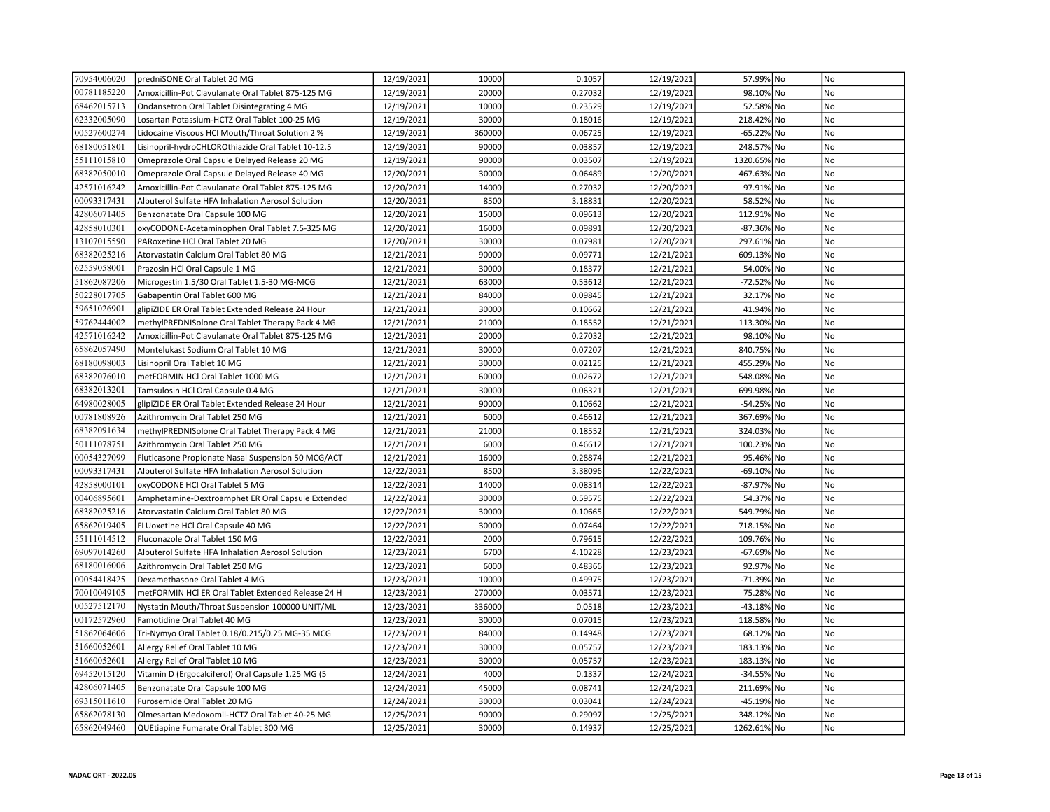| 70954006020 | predniSONE Oral Tablet 20 MG                       | 12/19/2021 | 10000  | 0.1057  | 12/19/2021 | 57.99% No   | No             |
|-------------|----------------------------------------------------|------------|--------|---------|------------|-------------|----------------|
| 00781185220 | Amoxicillin-Pot Clavulanate Oral Tablet 875-125 MG | 12/19/2021 | 20000  | 0.27032 | 12/19/2021 | 98.10% No   | N <sub>o</sub> |
| 68462015713 | Ondansetron Oral Tablet Disintegrating 4 MG        | 12/19/2021 | 10000  | 0.23529 | 12/19/2021 | 52.58% No   | No             |
| 62332005090 | Losartan Potassium-HCTZ Oral Tablet 100-25 MG      | 12/19/2021 | 30000  | 0.18016 | 12/19/2021 | 218.42% No  | No             |
| 00527600274 | Lidocaine Viscous HCl Mouth/Throat Solution 2 %    | 12/19/2021 | 360000 | 0.06725 | 12/19/2021 | -65.22% No  | No             |
| 68180051801 | Lisinopril-hydroCHLOROthiazide Oral Tablet 10-12.5 | 12/19/2021 | 90000  | 0.03857 | 12/19/2021 | 248.57% No  | No             |
| 55111015810 | Omeprazole Oral Capsule Delayed Release 20 MG      | 12/19/2021 | 90000  | 0.03507 | 12/19/2021 | 1320.65% No | No             |
| 68382050010 | Omeprazole Oral Capsule Delayed Release 40 MG      | 12/20/2021 | 30000  | 0.06489 | 12/20/2021 | 467.63% No  | No             |
| 42571016242 | Amoxicillin-Pot Clavulanate Oral Tablet 875-125 MG | 12/20/2021 | 14000  | 0.27032 | 12/20/2021 | 97.91% No   | No             |
| 00093317431 | Albuterol Sulfate HFA Inhalation Aerosol Solution  | 12/20/2021 | 8500   | 3.18831 | 12/20/2021 | 58.52% No   | No             |
| 42806071405 | Benzonatate Oral Capsule 100 MG                    | 12/20/2021 | 15000  | 0.09613 | 12/20/2021 | 112.91% No  | No             |
| 42858010301 | oxyCODONE-Acetaminophen Oral Tablet 7.5-325 MG     | 12/20/2021 | 16000  | 0.09891 | 12/20/2021 | -87.36% No  | No             |
| 13107015590 | PARoxetine HCl Oral Tablet 20 MG                   | 12/20/2021 | 30000  | 0.07981 | 12/20/2021 | 297.61% No  | No             |
| 68382025216 | Atorvastatin Calcium Oral Tablet 80 MG             | 12/21/2021 | 90000  | 0.09771 | 12/21/2021 | 609.13% No  | No             |
| 62559058001 | Prazosin HCl Oral Capsule 1 MG                     | 12/21/2021 | 30000  | 0.18377 | 12/21/2021 | 54.00% No   | No             |
| 51862087206 | Microgestin 1.5/30 Oral Tablet 1.5-30 MG-MCG       | 12/21/2021 | 63000  | 0.53612 | 12/21/2021 | -72.52% No  | No             |
| 50228017705 | Gabapentin Oral Tablet 600 MG                      | 12/21/2021 | 84000  | 0.09845 | 12/21/2021 | 32.17% No   | No             |
| 59651026901 | glipiZIDE ER Oral Tablet Extended Release 24 Hour  | 12/21/2021 | 30000  | 0.10662 | 12/21/2021 | 41.94% No   | No             |
| 59762444002 | methylPREDNISolone Oral Tablet Therapy Pack 4 MG   | 12/21/2021 | 21000  | 0.18552 | 12/21/2021 | 113.30% No  | No             |
| 42571016242 | Amoxicillin-Pot Clavulanate Oral Tablet 875-125 MG | 12/21/2021 | 20000  | 0.27032 | 12/21/2021 | 98.10% No   | No             |
| 65862057490 | Montelukast Sodium Oral Tablet 10 MG               | 12/21/2021 | 30000  | 0.07207 | 12/21/2021 | 840.75% No  | No             |
| 68180098003 | Lisinopril Oral Tablet 10 MG                       | 12/21/2021 | 30000  | 0.02125 | 12/21/2021 | 455.29% No  | No             |
| 68382076010 | metFORMIN HCl Oral Tablet 1000 MG                  | 12/21/2021 | 60000  | 0.02672 | 12/21/2021 | 548.08% No  | No             |
| 68382013201 | Tamsulosin HCl Oral Capsule 0.4 MG                 | 12/21/2021 | 30000  | 0.06321 | 12/21/2021 | 699.98% No  | No             |
| 64980028005 | glipiZIDE ER Oral Tablet Extended Release 24 Hour  | 12/21/2021 | 90000  | 0.10662 | 12/21/2021 | -54.25% No  | No             |
| 00781808926 | Azithromycin Oral Tablet 250 MG                    | 12/21/2021 | 6000   | 0.46612 | 12/21/2021 | 367.69% No  | No             |
| 68382091634 | methylPREDNISolone Oral Tablet Therapy Pack 4 MG   | 12/21/2021 | 21000  | 0.18552 | 12/21/2021 | 324.03% No  | No             |
| 50111078751 | Azithromycin Oral Tablet 250 MG                    | 12/21/2021 | 6000   | 0.46612 | 12/21/2021 | 100.23% No  | No             |
| 00054327099 | Fluticasone Propionate Nasal Suspension 50 MCG/ACT | 12/21/2021 | 16000  | 0.28874 | 12/21/2021 | 95.46% No   | No             |
| 00093317431 | Albuterol Sulfate HFA Inhalation Aerosol Solution  | 12/22/2021 | 8500   | 3.38096 | 12/22/2021 | -69.10% No  | No             |
| 42858000101 | oxyCODONE HCl Oral Tablet 5 MG                     | 12/22/2021 | 14000  | 0.08314 | 12/22/2021 | -87.97% No  | N <sub>o</sub> |
| 00406895601 | Amphetamine-Dextroamphet ER Oral Capsule Extended  | 12/22/2021 | 30000  | 0.59575 | 12/22/2021 | 54.37% No   | No             |
| 68382025216 | Atorvastatin Calcium Oral Tablet 80 MG             | 12/22/2021 | 30000  | 0.10665 | 12/22/2021 | 549.79% No  | No             |
| 65862019405 | FLUoxetine HCl Oral Capsule 40 MG                  | 12/22/2021 | 30000  | 0.07464 | 12/22/2021 | 718.15% No  | No             |
| 55111014512 | Fluconazole Oral Tablet 150 MG                     | 12/22/2021 | 2000   | 0.79615 | 12/22/2021 | 109.76% No  | No             |
| 69097014260 | Albuterol Sulfate HFA Inhalation Aerosol Solution  | 12/23/2021 | 6700   | 4.10228 | 12/23/2021 | -67.69% No  | No             |
| 68180016006 | Azithromycin Oral Tablet 250 MG                    | 12/23/2021 | 6000   | 0.48366 | 12/23/2021 | 92.97% No   | <b>No</b>      |
| 00054418425 | Dexamethasone Oral Tablet 4 MG                     | 12/23/2021 | 10000  | 0.49975 | 12/23/2021 | -71.39% No  | No             |
| 70010049105 | metFORMIN HCI ER Oral Tablet Extended Release 24 H | 12/23/2021 | 270000 | 0.03571 | 12/23/2021 | 75.28% No   | No             |
| 00527512170 | Nystatin Mouth/Throat Suspension 100000 UNIT/ML    | 12/23/2021 | 336000 | 0.0518  | 12/23/2021 | -43.18% No  | No             |
| 00172572960 | Famotidine Oral Tablet 40 MG                       | 12/23/2021 | 30000  | 0.07015 | 12/23/2021 | 118.58% No  | No             |
| 51862064606 | Tri-Nymyo Oral Tablet 0.18/0.215/0.25 MG-35 MCG    | 12/23/2021 | 84000  | 0.14948 | 12/23/2021 | 68.12% No   | No             |
| 51660052601 | Allergy Relief Oral Tablet 10 MG                   | 12/23/2021 | 30000  | 0.05757 | 12/23/2021 | 183.13% No  | N <sub>o</sub> |
| 51660052601 | Allergy Relief Oral Tablet 10 MG                   | 12/23/2021 | 30000  | 0.05757 | 12/23/2021 | 183.13% No  | No             |
| 69452015120 | Vitamin D (Ergocalciferol) Oral Capsule 1.25 MG (5 | 12/24/2021 | 4000   | 0.1337  | 12/24/2021 | -34.55% No  | No             |
| 42806071405 | Benzonatate Oral Capsule 100 MG                    | 12/24/2021 | 45000  | 0.08741 | 12/24/2021 | 211.69% No  | N <sub>o</sub> |
| 69315011610 | Furosemide Oral Tablet 20 MG                       | 12/24/2021 | 30000  | 0.03041 | 12/24/2021 | -45.19% No  | N <sub>o</sub> |
| 65862078130 | Olmesartan Medoxomil-HCTZ Oral Tablet 40-25 MG     | 12/25/2021 | 90000  | 0.29097 | 12/25/2021 | 348.12% No  | No             |
| 65862049460 | QUEtiapine Fumarate Oral Tablet 300 MG             | 12/25/2021 | 30000  | 0.14937 | 12/25/2021 | 1262.61% No | No             |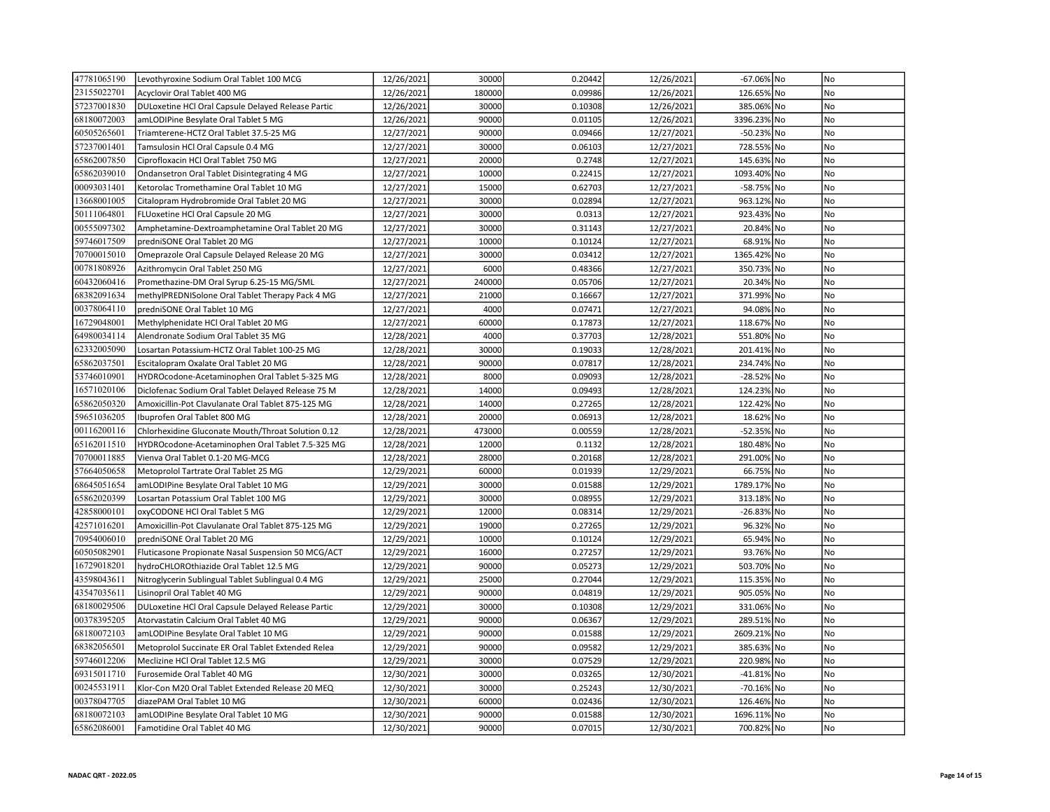| 47781065190 | Levothyroxine Sodium Oral Tablet 100 MCG           | 12/26/2021 | 30000  | 0.20442 | 12/26/2021 | -67.06% No  | No             |
|-------------|----------------------------------------------------|------------|--------|---------|------------|-------------|----------------|
| 23155022701 | Acyclovir Oral Tablet 400 MG                       | 12/26/2021 | 180000 | 0.09986 | 12/26/2021 | 126.65% No  | No             |
| 57237001830 | DULoxetine HCl Oral Capsule Delayed Release Partic | 12/26/2021 | 30000  | 0.10308 | 12/26/2021 | 385.06% No  | No             |
| 68180072003 | amLODIPine Besylate Oral Tablet 5 MG               | 12/26/2021 | 90000  | 0.01105 | 12/26/2021 | 3396.23% No | No             |
| 60505265601 | Triamterene-HCTZ Oral Tablet 37.5-25 MG            | 12/27/2021 | 90000  | 0.09466 | 12/27/2021 | -50.23% No  | No             |
| 57237001401 | Tamsulosin HCl Oral Capsule 0.4 MG                 | 12/27/2021 | 30000  | 0.06103 | 12/27/2021 | 728.55% No  | N <sub>o</sub> |
| 65862007850 | Ciprofloxacin HCl Oral Tablet 750 MG               | 12/27/2021 | 20000  | 0.2748  | 12/27/2021 | 145.63% No  | N <sub>o</sub> |
| 65862039010 | Ondansetron Oral Tablet Disintegrating 4 MG        | 12/27/2021 | 10000  | 0.22415 | 12/27/2021 | 1093.40% No | No             |
| 00093031401 | Ketorolac Tromethamine Oral Tablet 10 MG           | 12/27/2021 | 15000  | 0.62703 | 12/27/2021 | -58.75% No  | No             |
| 13668001005 | Citalopram Hydrobromide Oral Tablet 20 MG          | 12/27/2021 | 30000  | 0.02894 | 12/27/2021 | 963.12% No  | No             |
| 50111064801 | FLUoxetine HCl Oral Capsule 20 MG                  | 12/27/2021 | 30000  | 0.0313  | 12/27/2021 | 923.43% No  | No             |
| 00555097302 | Amphetamine-Dextroamphetamine Oral Tablet 20 MG    | 12/27/2021 | 30000  | 0.31143 | 12/27/2021 | 20.84% No   | No             |
| 59746017509 | predniSONE Oral Tablet 20 MG                       | 12/27/2021 | 10000  | 0.10124 | 12/27/2021 | 68.91% No   | No             |
| 70700015010 | Omeprazole Oral Capsule Delayed Release 20 MG      | 12/27/2021 | 30000  | 0.03412 | 12/27/2021 | 1365.42% No | No             |
| 00781808926 | Azithromycin Oral Tablet 250 MG                    | 12/27/2021 | 6000   | 0.48366 | 12/27/2021 | 350.73% No  | No             |
| 60432060416 | Promethazine-DM Oral Syrup 6.25-15 MG/5ML          | 12/27/2021 | 240000 | 0.05706 | 12/27/2021 | 20.34% No   | No             |
| 68382091634 | methylPREDNISolone Oral Tablet Therapy Pack 4 MG   | 12/27/2021 | 21000  | 0.16667 | 12/27/2021 | 371.99% No  | No             |
| 00378064110 | predniSONE Oral Tablet 10 MG                       | 12/27/2021 | 4000   | 0.07471 | 12/27/2021 | 94.08% No   | No             |
| 16729048001 | Methylphenidate HCl Oral Tablet 20 MG              | 12/27/2021 | 60000  | 0.17873 | 12/27/2021 | 118.67% No  | No             |
| 64980034114 | Alendronate Sodium Oral Tablet 35 MG               | 12/28/2021 | 4000   | 0.37703 | 12/28/2021 | 551.80% No  | No             |
| 62332005090 | Losartan Potassium-HCTZ Oral Tablet 100-25 MG      | 12/28/2021 | 30000  | 0.19033 | 12/28/2021 | 201.41% No  | No             |
| 65862037501 | Escitalopram Oxalate Oral Tablet 20 MG             | 12/28/2021 | 90000  | 0.07817 | 12/28/2021 | 234.74% No  | No             |
| 53746010901 | HYDROcodone-Acetaminophen Oral Tablet 5-325 MG     | 12/28/2021 | 8000   | 0.09093 | 12/28/2021 | -28.52% No  | No             |
| 16571020106 | Diclofenac Sodium Oral Tablet Delayed Release 75 M | 12/28/2021 | 14000  | 0.09493 | 12/28/2021 | 124.23% No  | No             |
| 65862050320 | Amoxicillin-Pot Clavulanate Oral Tablet 875-125 MG | 12/28/2021 | 14000  | 0.27265 | 12/28/2021 | 122.42% No  | No             |
| 59651036205 | Ibuprofen Oral Tablet 800 MG                       | 12/28/2021 | 20000  | 0.06913 | 12/28/2021 | 18.62% No   | N <sub>o</sub> |
| 00116200116 | Chlorhexidine Gluconate Mouth/Throat Solution 0.12 | 12/28/2021 | 473000 | 0.00559 | 12/28/2021 | -52.35% No  | No             |
| 65162011510 | HYDROcodone-Acetaminophen Oral Tablet 7.5-325 MG   | 12/28/2021 | 12000  | 0.1132  | 12/28/2021 | 180.48% No  | No             |
| 70700011885 | Vienva Oral Tablet 0.1-20 MG-MCG                   | 12/28/2021 | 28000  | 0.20168 | 12/28/2021 | 291.00% No  | No             |
| 57664050658 | Metoprolol Tartrate Oral Tablet 25 MG              | 12/29/2021 | 60000  | 0.01939 | 12/29/2021 | 66.75% No   | No             |
| 68645051654 | amLODIPine Besylate Oral Tablet 10 MG              | 12/29/2021 | 30000  | 0.01588 | 12/29/2021 | 1789.17% No | No             |
| 65862020399 | Losartan Potassium Oral Tablet 100 MG              | 12/29/2021 | 30000  | 0.08955 | 12/29/2021 | 313.18% No  | No             |
| 42858000101 | oxyCODONE HCl Oral Tablet 5 MG                     | 12/29/2021 | 12000  | 0.08314 | 12/29/2021 | -26.83% No  | No             |
| 42571016201 | Amoxicillin-Pot Clavulanate Oral Tablet 875-125 MG | 12/29/2021 | 19000  | 0.27265 | 12/29/2021 | 96.32% No   | No             |
| 70954006010 | predniSONE Oral Tablet 20 MG                       | 12/29/2021 | 10000  | 0.10124 | 12/29/2021 | 65.94% No   | No             |
| 60505082901 | Fluticasone Propionate Nasal Suspension 50 MCG/ACT | 12/29/2021 | 16000  | 0.27257 | 12/29/2021 | 93.76% No   | No             |
| 16729018201 | hydroCHLOROthiazide Oral Tablet 12.5 MG            | 12/29/2021 | 90000  | 0.05273 | 12/29/2021 | 503.70% No  | No             |
| 43598043611 | Nitroglycerin Sublingual Tablet Sublingual 0.4 MG  | 12/29/2021 | 25000  | 0.27044 | 12/29/2021 | 115.35% No  | No             |
| 43547035611 | Lisinopril Oral Tablet 40 MG                       | 12/29/2021 | 90000  | 0.04819 | 12/29/2021 | 905.05% No  | No             |
| 68180029506 | DULoxetine HCl Oral Capsule Delayed Release Partic | 12/29/2021 | 30000  | 0.10308 | 12/29/2021 | 331.06% No  | No             |
| 00378395205 | Atorvastatin Calcium Oral Tablet 40 MG             | 12/29/2021 | 90000  | 0.06367 | 12/29/2021 | 289.51% No  | No             |
| 68180072103 | amLODIPine Besylate Oral Tablet 10 MG              | 12/29/2021 | 90000  | 0.01588 | 12/29/2021 | 2609.21% No | No             |
| 68382056501 | Metoprolol Succinate ER Oral Tablet Extended Relea | 12/29/2021 | 90000  | 0.09582 | 12/29/2021 | 385.63% No  | No             |
| 59746012206 | Meclizine HCl Oral Tablet 12.5 MG                  | 12/29/2021 | 30000  | 0.07529 | 12/29/2021 | 220.98% No  | No             |
| 69315011710 | Furosemide Oral Tablet 40 MG                       | 12/30/2021 | 30000  | 0.03265 | 12/30/2021 | -41.81% No  | No             |
| 00245531911 | Klor-Con M20 Oral Tablet Extended Release 20 MEQ   | 12/30/2021 | 30000  | 0.25243 | 12/30/2021 | -70.16% No  | No             |
| 00378047705 | diazePAM Oral Tablet 10 MG                         | 12/30/2021 | 60000  | 0.02436 | 12/30/2021 | 126.46% No  | N <sub>o</sub> |
| 68180072103 | amLODIPine Besylate Oral Tablet 10 MG              | 12/30/2021 | 90000  | 0.01588 | 12/30/2021 | 1696.11% No | No             |
| 65862086001 | Famotidine Oral Tablet 40 MG                       | 12/30/2021 | 90000  | 0.07015 | 12/30/2021 | 700.82% No  | No             |